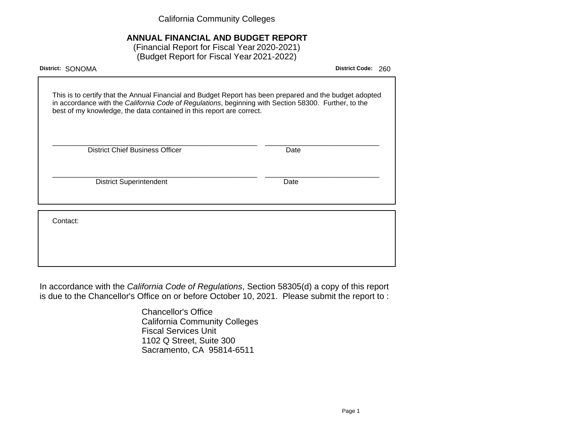California Community Colleges

# **ANNUAL FINANCIAL AND BUDGET REPORT**

(Financial Report for Fiscal Year 2020-2021) (Budget Report for Fiscal Year 2021-2022)

| District: SONOMA                                                                                                                                                                                                                                                                        | <b>District Code:</b> | 260 |
|-----------------------------------------------------------------------------------------------------------------------------------------------------------------------------------------------------------------------------------------------------------------------------------------|-----------------------|-----|
| This is to certify that the Annual Financial and Budget Report has been prepared and the budget adopted<br>in accordance with the California Code of Regulations, beginning with Section 58300. Further, to the<br>best of my knowledge, the data contained in this report are correct. |                       |     |
| <b>District Chief Business Officer</b><br>Date                                                                                                                                                                                                                                          |                       |     |
| <b>District Superintendent</b><br>Date                                                                                                                                                                                                                                                  |                       |     |
| Contact:                                                                                                                                                                                                                                                                                |                       |     |
|                                                                                                                                                                                                                                                                                         |                       |     |

In accordance with the California Code of Regulations, Section 58305(d) a copy of this report is due to the Chancellor's Office on or before October 10, 2021. Please submit the report to :

> Chancellor's Office California Community Colleges Fiscal Services Unit 1102 Q Street, Suite 300 Sacramento, CA 95814-6511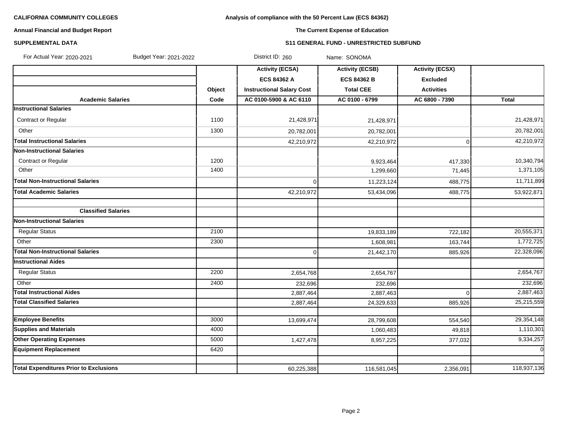# **Analysis of compliance with the 50 Percent Law (ECS 84362)**

### **Annual Financial and Budget Report**

# **The Current Expense of Education**

### **SUPPLEMENTAL DATA S11 GENERAL FUND - UNRESTRICTED SUBFUND**

| For Actual Year: 2020-2021                    | Budget Year: 2021-2022 | District ID: 260                 | Name: SONOMA           |                        |              |
|-----------------------------------------------|------------------------|----------------------------------|------------------------|------------------------|--------------|
|                                               |                        | <b>Activity (ECSA)</b>           | <b>Activity (ECSB)</b> | <b>Activity (ECSX)</b> |              |
|                                               |                        | <b>ECS 84362 A</b>               | <b>ECS 84362 B</b>     | <b>Excluded</b>        |              |
|                                               | Object                 | <b>Instructional Salary Cost</b> | <b>Total CEE</b>       | <b>Activities</b>      |              |
| <b>Academic Salaries</b>                      | Code                   | AC 0100-5900 & AC 6110           | AC 0100 - 6799         | AC 6800 - 7390         | <b>Total</b> |
| <b>Instructional Salaries</b>                 |                        |                                  |                        |                        |              |
| Contract or Regular                           | 1100                   | 21,428,971                       | 21,428,971             |                        | 21,428,971   |
| Other                                         | 1300                   | 20,782,001                       | 20,782,001             |                        | 20,782,001   |
| <b>Total Instructional Salaries</b>           |                        | 42,210,972                       | 42,210,972             | $\mathbf 0$            | 42,210,972   |
| <b>Non-Instructional Salaries</b>             |                        |                                  |                        |                        |              |
| Contract or Regular                           | 1200                   |                                  | 9,923,464              | 417,330                | 10,340,794   |
| Other                                         | 1400                   |                                  | 1,299,660              | 71,445                 | 1,371,105    |
| <b>Total Non-Instructional Salaries</b>       |                        | $\Omega$                         | 11,223,124             | 488,775                | 11,711,899   |
| <b>Total Academic Salaries</b>                |                        | 42,210,972                       | 53,434,096             | 488,775                | 53,922,871   |
|                                               |                        |                                  |                        |                        |              |
| <b>Classified Salaries</b>                    |                        |                                  |                        |                        |              |
| <b>Non-Instructional Salaries</b>             |                        |                                  |                        |                        |              |
| <b>Regular Status</b>                         | 2100                   |                                  | 19,833,189             | 722,182                | 20,555,371   |
| Other                                         | 2300                   |                                  | 1,608,981              | 163,744                | 1,772,725    |
| <b>Total Non-Instructional Salaries</b>       |                        | $\Omega$                         | 21,442,170             | 885,926                | 22,328,096   |
| <b>Instructional Aides</b>                    |                        |                                  |                        |                        |              |
| <b>Regular Status</b>                         | 2200                   | 2,654,768                        | 2,654,767              |                        | 2,654,767    |
| Other                                         | 2400                   | 232,696                          | 232,696                |                        | 232,696      |
| <b>Total Instructional Aides</b>              |                        | 2,887,464                        | 2,887,463              | $\Omega$               | 2,887,463    |
| <b>Total Classified Salaries</b>              |                        | 2,887,464                        | 24,329,633             | 885,926                | 25,215,559   |
|                                               |                        |                                  |                        |                        |              |
| <b>Employee Benefits</b>                      | 3000                   | 13,699,474                       | 28,799,608             | 554,540                | 29,354,148   |
| <b>Supplies and Materials</b>                 | 4000                   |                                  | 1,060,483              | 49,818                 | 1,110,301    |
| <b>Other Operating Expenses</b>               | 5000                   | 1,427,478                        | 8,957,225              | 377,032                | 9,334,257    |
| <b>Equipment Replacement</b>                  | 6420                   |                                  |                        |                        | $\Omega$     |
| <b>Total Expenditures Prior to Exclusions</b> |                        | 60,225,388                       | 116,581,045            | 2,356,091              | 118,937,136  |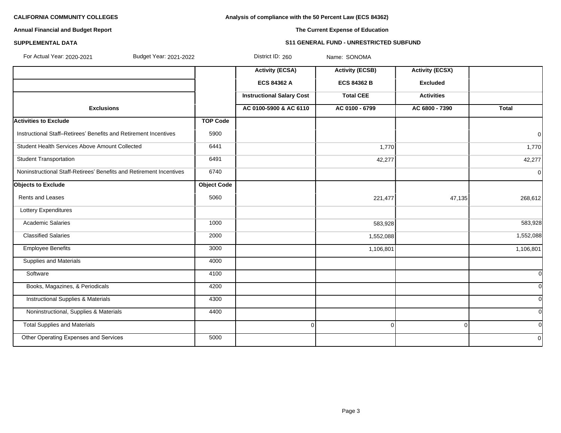**Analysis of compliance with the 50 Percent Law (ECS 84362)**

# **Annual Financial and Budget Report**

# **The Current Expense of Education**

# **SUPPLEMENTAL DATA S11 GENERAL FUND - UNRESTRICTED SUBFUND**

| For Actual Year: 2020-2021<br>Budget Year: 2021-2022                |                    | District ID: 260                 | Name: SONOMA           |                        |                |
|---------------------------------------------------------------------|--------------------|----------------------------------|------------------------|------------------------|----------------|
|                                                                     |                    | <b>Activity (ECSA)</b>           | <b>Activity (ECSB)</b> | <b>Activity (ECSX)</b> |                |
|                                                                     |                    | ECS 84362 A                      | <b>ECS 84362 B</b>     | <b>Excluded</b>        |                |
|                                                                     |                    | <b>Instructional Salary Cost</b> | <b>Total CEE</b>       | <b>Activities</b>      |                |
| <b>Exclusions</b>                                                   |                    | AC 0100-5900 & AC 6110           | AC 0100 - 6799         | AC 6800 - 7390         | <b>Total</b>   |
| <b>Activities to Exclude</b>                                        | <b>TOP Code</b>    |                                  |                        |                        |                |
| Instructional Staff-Retirees' Benefits and Retirement Incentives    | 5900               |                                  |                        |                        | $\overline{0}$ |
| Student Health Services Above Amount Collected                      | 6441               |                                  | 1,770                  |                        | 1,770          |
| <b>Student Transportation</b>                                       | 6491               |                                  | 42,277                 |                        | 42,277         |
| Noninstructional Staff-Retirees' Benefits and Retirement Incentives | 6740               |                                  |                        |                        | 0              |
| <b>Objects to Exclude</b>                                           | <b>Object Code</b> |                                  |                        |                        |                |
| <b>Rents and Leases</b>                                             | 5060               |                                  | 221,477                | 47,135                 | 268,612        |
| Lottery Expenditures                                                |                    |                                  |                        |                        |                |
| <b>Academic Salaries</b>                                            | 1000               |                                  | 583,928                |                        | 583,928        |
| <b>Classified Salaries</b>                                          | 2000               |                                  | 1,552,088              |                        | 1,552,088      |
| <b>Employee Benefits</b>                                            | 3000               |                                  | 1,106,801              |                        | 1,106,801      |
| <b>Supplies and Materials</b>                                       | 4000               |                                  |                        |                        |                |
| Software                                                            | 4100               |                                  |                        |                        | 0l             |
| Books, Magazines, & Periodicals                                     | 4200               |                                  |                        |                        | 0l             |
| Instructional Supplies & Materials                                  | 4300               |                                  |                        |                        | <sub>0</sub>   |
| Noninstructional, Supplies & Materials                              | 4400               |                                  |                        |                        | <sub>0</sub>   |
| <b>Total Supplies and Materials</b>                                 |                    | $\Omega$                         | 0                      | $\Omega$               | <sub>0</sub>   |
| Other Operating Expenses and Services                               | 5000               |                                  |                        |                        | 0l             |
|                                                                     |                    |                                  |                        |                        |                |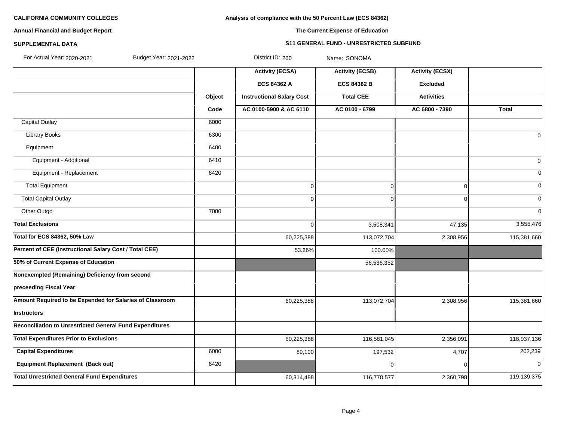### **Analysis of compliance with the 50 Percent Law (ECS 84362)**

# **Annual Financial and Budget Report**

### **The Current Expense of Education**

# **SUPPLEMENTAL DATA S11 GENERAL FUND - UNRESTRICTED SUBFUND**

| For Actual Year: 2020-2021<br>Budget Year: 2021-2022     |        | District ID: 260                 | Name: SONOMA           |                        |                |
|----------------------------------------------------------|--------|----------------------------------|------------------------|------------------------|----------------|
|                                                          |        | <b>Activity (ECSA)</b>           | <b>Activity (ECSB)</b> | <b>Activity (ECSX)</b> |                |
|                                                          |        | ECS 84362 A                      | <b>ECS 84362 B</b>     | <b>Excluded</b>        |                |
|                                                          | Object | <b>Instructional Salary Cost</b> | <b>Total CEE</b>       | <b>Activities</b>      |                |
|                                                          | Code   | AC 0100-5900 & AC 6110           | AC 0100 - 6799         | AC 6800 - 7390         | <b>Total</b>   |
| <b>Capital Outlay</b>                                    | 6000   |                                  |                        |                        |                |
| <b>Library Books</b>                                     | 6300   |                                  |                        |                        | $\overline{0}$ |
| Equipment                                                | 6400   |                                  |                        |                        |                |
| Equipment - Additional                                   | 6410   |                                  |                        |                        | $\overline{0}$ |
| Equipment - Replacement                                  | 6420   |                                  |                        |                        | $\overline{0}$ |
| <b>Total Equipment</b>                                   |        | $\mathbf 0$                      | 0                      | $\Omega$               | $\Omega$       |
| <b>Total Capital Outlay</b>                              |        | $\mathbf 0$                      | 0                      | $\Omega$               | $\Omega$       |
| Other Outgo                                              | 7000   |                                  |                        |                        | $\Omega$       |
| <b>Total Exclusions</b>                                  |        | $\mathbf 0$                      | 3,508,341              | 47,135                 | 3,555,476      |
| <b>Total for ECS 84362, 50% Law</b>                      |        | 60,225,388                       | 113,072,704            | 2,308,956              | 115,381,660    |
| Percent of CEE (Instructional Salary Cost / Total CEE)   |        | 53.26%                           | 100.00%                |                        |                |
| 50% of Current Expense of Education                      |        |                                  | 56,536,352             |                        |                |
| Nonexempted (Remaining) Deficiency from second           |        |                                  |                        |                        |                |
| preceeding Fiscal Year                                   |        |                                  |                        |                        |                |
| Amount Required to be Expended for Salaries of Classroom |        | 60,225,388                       | 113,072,704            | 2,308,956              | 115,381,660    |
| Instructors                                              |        |                                  |                        |                        |                |
| Reconciliation to Unrestricted General Fund Expenditures |        |                                  |                        |                        |                |
| <b>Total Expenditures Prior to Exclusions</b>            |        | 60,225,388                       | 116,581,045            | 2,356,091              | 118,937,136    |
| <b>Capital Expenditures</b>                              | 6000   | 89,100                           | 197,532                | 4,707                  | 202,239        |
| <b>Equipment Replacement (Back out)</b>                  | 6420   |                                  | 0                      | $\cap$                 | $\overline{0}$ |
| <b>Total Unrestricted General Fund Expenditures</b>      |        | 60,314,488                       | 116,778,577            | 2,360,798              | 119,139,375    |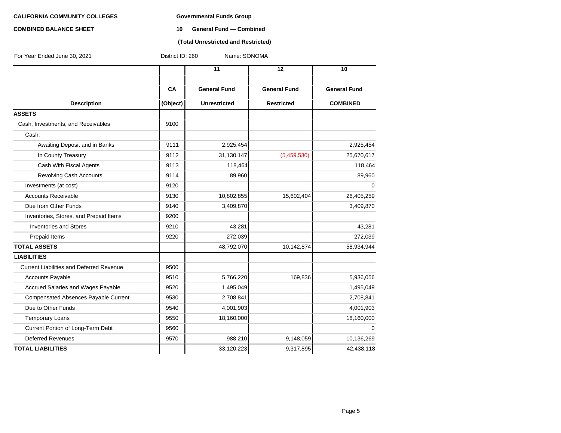### **COMBINED BALANCE SHEET 10 General Fund — Combined**

### **(Total Unrestricted and Restricted)**

| For Year Ended June 30, 2021                    | Name: SONOMA<br>District ID: 260 |                     |                     |                     |  |  |  |
|-------------------------------------------------|----------------------------------|---------------------|---------------------|---------------------|--|--|--|
|                                                 |                                  | 11                  | 12                  | 10                  |  |  |  |
|                                                 | CA                               | <b>General Fund</b> | <b>General Fund</b> | <b>General Fund</b> |  |  |  |
| <b>Description</b>                              | (Object)                         | <b>Unrestricted</b> | <b>Restricted</b>   | <b>COMBINED</b>     |  |  |  |
| <b>ASSETS</b>                                   |                                  |                     |                     |                     |  |  |  |
| Cash, Investments, and Receivables              | 9100                             |                     |                     |                     |  |  |  |
| Cash:                                           |                                  |                     |                     |                     |  |  |  |
| Awaiting Deposit and in Banks                   | 9111                             | 2,925,454           |                     | 2,925,454           |  |  |  |
| In County Treasury                              | 9112                             | 31,130,147          | (5,459,530)         | 25,670,617          |  |  |  |
| Cash With Fiscal Agents                         | 9113                             | 118,464             |                     | 118,464             |  |  |  |
| <b>Revolving Cash Accounts</b>                  | 9114                             | 89,960              |                     | 89,960              |  |  |  |
| Investments (at cost)                           | 9120                             |                     |                     | $\Omega$            |  |  |  |
| <b>Accounts Receivable</b>                      | 9130                             | 10,802,855          | 15,602,404          | 26,405,259          |  |  |  |
| Due from Other Funds                            | 9140                             | 3,409,870           |                     | 3,409,870           |  |  |  |
| Inventories, Stores, and Prepaid Items          | 9200                             |                     |                     |                     |  |  |  |
| <b>Inventories and Stores</b>                   | 9210                             | 43,281              |                     | 43,281              |  |  |  |
| Prepaid Items                                   | 9220                             | 272,039             |                     | 272,039             |  |  |  |
| <b>TOTAL ASSETS</b>                             |                                  | 48,792,070          | 10,142,874          | 58,934,944          |  |  |  |
| <b>LIABILITIES</b>                              |                                  |                     |                     |                     |  |  |  |
| <b>Current Liabilities and Deferred Revenue</b> | 9500                             |                     |                     |                     |  |  |  |
| Accounts Payable                                | 9510                             | 5,766,220           | 169,836             | 5,936,056           |  |  |  |
| Accrued Salaries and Wages Payable              | 9520                             | 1,495,049           |                     | 1,495,049           |  |  |  |
| Compensated Absences Payable Current            | 9530                             | 2,708,841           |                     | 2,708,841           |  |  |  |
| Due to Other Funds                              | 9540                             | 4,001,903           |                     | 4,001,903           |  |  |  |
| <b>Temporary Loans</b>                          | 9550                             | 18,160,000          |                     | 18,160,000          |  |  |  |
| Current Portion of Long-Term Debt               | 9560                             |                     |                     | $\Omega$            |  |  |  |
| <b>Deferred Revenues</b>                        | 9570                             | 988,210             | 9,148,059           | 10,136,269          |  |  |  |
| <b>TOTAL LIABILITIES</b>                        |                                  | 33,120,223          | 9,317,895           | 42,438,118          |  |  |  |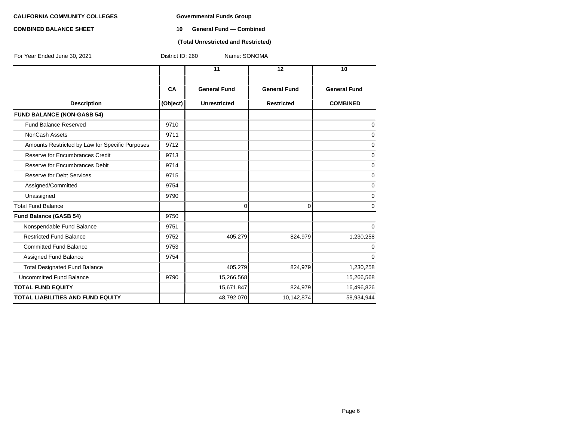### **COMBINED BALANCE SHEET 10 General Fund — Combined**

### **(Total Unrestricted and Restricted)**

| For Year Ended June 30, 2021                    | District ID: 260 | Name: SONOMA        |                     |                     |  |
|-------------------------------------------------|------------------|---------------------|---------------------|---------------------|--|
|                                                 |                  | 11                  | 12                  | 10                  |  |
|                                                 | <b>CA</b>        | <b>General Fund</b> | <b>General Fund</b> | <b>General Fund</b> |  |
| <b>Description</b>                              | (Object)         | <b>Unrestricted</b> | <b>Restricted</b>   | <b>COMBINED</b>     |  |
| <b>FUND BALANCE (NON-GASB 54)</b>               |                  |                     |                     |                     |  |
| <b>Fund Balance Reserved</b>                    | 9710             |                     |                     | 0                   |  |
| <b>NonCash Assets</b>                           | 9711             |                     |                     | 0                   |  |
| Amounts Restricted by Law for Specific Purposes | 9712             |                     |                     | 0                   |  |
| Reserve for Encumbrances Credit                 | 9713             |                     |                     | $\mathbf 0$         |  |
| Reserve for Encumbrances Debit                  | 9714             |                     |                     | $\mathbf 0$         |  |
| <b>Reserve for Debt Services</b>                | 9715             |                     |                     | $\mathbf 0$         |  |
| Assigned/Committed                              | 9754             |                     |                     | $\mathbf 0$         |  |
| Unassigned                                      | 9790             |                     |                     | $\mathbf 0$         |  |
| <b>Total Fund Balance</b>                       |                  | 0                   | $\Omega$            | $\mathbf 0$         |  |
| Fund Balance (GASB 54)                          | 9750             |                     |                     |                     |  |
| Nonspendable Fund Balance                       | 9751             |                     |                     | $\mathbf 0$         |  |
| <b>Restricted Fund Balance</b>                  | 9752             | 405,279             | 824,979             | 1,230,258           |  |
| <b>Committed Fund Balance</b>                   | 9753             |                     |                     | $\mathbf 0$         |  |
| Assigned Fund Balance                           | 9754             |                     |                     | $\Omega$            |  |
| <b>Total Designated Fund Balance</b>            |                  | 405,279             | 824,979             | 1,230,258           |  |
| Uncommitted Fund Balance                        | 9790             | 15,266,568          |                     | 15,266,568          |  |
| <b>TOTAL FUND EQUITY</b>                        |                  | 15,671,847          | 824,979             | 16,496,826          |  |
| <b>TOTAL LIABILITIES AND FUND EQUITY</b>        |                  | 48,792,070          | 10,142,874          | 58,934,944          |  |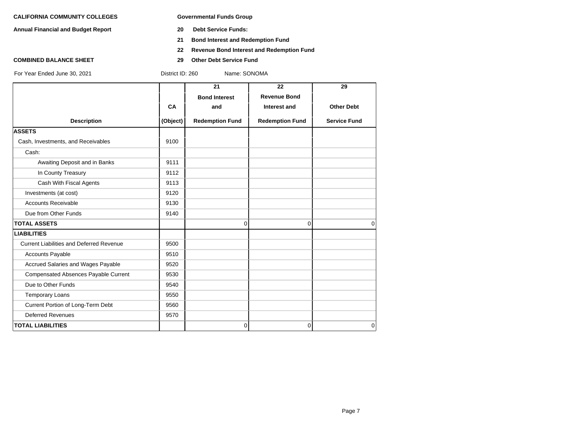**Annual Financial and Budget Report 20 Debt Service Funds:**

- 
- **21 Bond Interest and Redemption Fund**
- **22 Revenue Bond Interest and Redemption Fund**
- **COMBINED BALANCE SHEET 29 Other Debt Service Fund**

|           |                        |                        | 29                  |
|-----------|------------------------|------------------------|---------------------|
|           | <b>Bond Interest</b>   | <b>Revenue Bond</b>    |                     |
| <b>CA</b> | and                    | Interest and           | <b>Other Debt</b>   |
| (Object)  | <b>Redemption Fund</b> | <b>Redemption Fund</b> | <b>Service Fund</b> |
|           |                        |                        |                     |
| 9100      |                        |                        |                     |
|           |                        |                        |                     |
| 9111      |                        |                        |                     |
| 9112      |                        |                        |                     |
| 9113      |                        |                        |                     |
| 9120      |                        |                        |                     |
| 9130      |                        |                        |                     |
| 9140      |                        |                        |                     |
|           | $\mathbf 0$            | 0                      | $\Omega$            |
|           |                        |                        |                     |
| 9500      |                        |                        |                     |
| 9510      |                        |                        |                     |
| 9520      |                        |                        |                     |
| 9530      |                        |                        |                     |
| 9540      |                        |                        |                     |
| 9550      |                        |                        |                     |
| 9560      |                        |                        |                     |
| 9570      |                        |                        |                     |
|           | $\overline{0}$         | 0                      | $\mathbf 0$         |
|           |                        | 21                     | 22                  |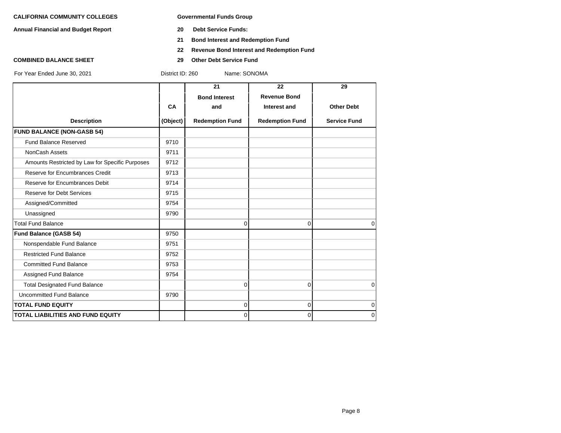**Annual Financial and Budget Report 20 Debt Service Funds:**

- 
- **21 Bond Interest and Redemption Fund**
- **22 Revenue Bond Interest and Redemption Fund**
- **COMBINED BALANCE SHEET 29 Other Debt Service Fund**

|                                                 |          | 21                     | 22                     | 29                  |
|-------------------------------------------------|----------|------------------------|------------------------|---------------------|
|                                                 |          | <b>Bond Interest</b>   | <b>Revenue Bond</b>    |                     |
|                                                 | CA       | and                    | <b>Interest and</b>    | <b>Other Debt</b>   |
| <b>Description</b>                              | (Object) | <b>Redemption Fund</b> | <b>Redemption Fund</b> | <b>Service Fund</b> |
| <b>FUND BALANCE (NON-GASB 54)</b>               |          |                        |                        |                     |
| <b>Fund Balance Reserved</b>                    | 9710     |                        |                        |                     |
| NonCash Assets                                  | 9711     |                        |                        |                     |
| Amounts Restricted by Law for Specific Purposes | 9712     |                        |                        |                     |
| Reserve for Encumbrances Credit                 | 9713     |                        |                        |                     |
| Reserve for Encumbrances Debit                  | 9714     |                        |                        |                     |
| <b>Reserve for Debt Services</b>                | 9715     |                        |                        |                     |
| Assigned/Committed                              | 9754     |                        |                        |                     |
| Unassigned                                      | 9790     |                        |                        |                     |
| <b>Total Fund Balance</b>                       |          | 0                      | $\overline{0}$         | $\Omega$            |
| <b>Fund Balance (GASB 54)</b>                   | 9750     |                        |                        |                     |
| Nonspendable Fund Balance                       | 9751     |                        |                        |                     |
| <b>Restricted Fund Balance</b>                  | 9752     |                        |                        |                     |
| <b>Committed Fund Balance</b>                   | 9753     |                        |                        |                     |
| Assigned Fund Balance                           | 9754     |                        |                        |                     |
| <b>Total Designated Fund Balance</b>            |          | 0                      | $\mathbf 0$            | 0                   |
| <b>Uncommitted Fund Balance</b>                 | 9790     |                        |                        |                     |
| <b>TOTAL FUND EQUITY</b>                        |          | $\overline{0}$         | $\overline{0}$         | 0                   |
| <b>TOTAL LIABILITIES AND FUND EQUITY</b>        |          | $\overline{0}$         | $\Omega$               | 0                   |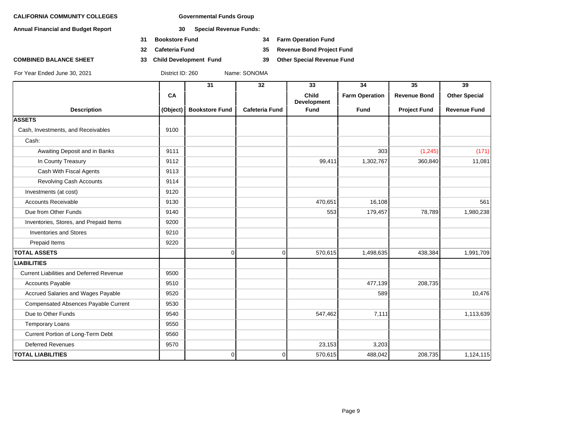**Annual Financial and Budget Report 30 Special Revenue Funds:**

- **31 Bookstore Fund 34 Farm Operation Fund**
- 
- **COMBINED BALANCE SHEET 33 Child Development Fund 39 Other Special Revenue Fund**

**32 Cafeteria Fund 35 Revenue Bond Project Fund**

|                                                 |          | 31                    | $\overline{32}$       | 33                                 | $\overline{34}$       | $\overline{35}$     | $\overline{39}$      |
|-------------------------------------------------|----------|-----------------------|-----------------------|------------------------------------|-----------------------|---------------------|----------------------|
|                                                 | CA       |                       |                       | <b>Child</b><br><b>Development</b> | <b>Farm Operation</b> | <b>Revenue Bond</b> | <b>Other Special</b> |
| <b>Description</b>                              | (Object) | <b>Bookstore Fund</b> | <b>Cafeteria Fund</b> | <b>Fund</b>                        | <b>Fund</b>           | <b>Project Fund</b> | <b>Revenue Fund</b>  |
| <b>ASSETS</b>                                   |          |                       |                       |                                    |                       |                     |                      |
| Cash, Investments, and Receivables              | 9100     |                       |                       |                                    |                       |                     |                      |
| Cash:                                           |          |                       |                       |                                    |                       |                     |                      |
| Awaiting Deposit and in Banks                   | 9111     |                       |                       |                                    | 303                   | (1,245)             | (171)                |
| In County Treasury                              | 9112     |                       |                       | 99,411                             | 1,302,767             | 360,840             | 11,081               |
| Cash With Fiscal Agents                         | 9113     |                       |                       |                                    |                       |                     |                      |
| Revolving Cash Accounts                         | 9114     |                       |                       |                                    |                       |                     |                      |
| Investments (at cost)                           | 9120     |                       |                       |                                    |                       |                     |                      |
| <b>Accounts Receivable</b>                      | 9130     |                       |                       | 470,651                            | 16,108                |                     | 561                  |
| Due from Other Funds                            | 9140     |                       |                       | 553                                | 179,457               | 78,789              | 1,980,238            |
| Inventories, Stores, and Prepaid Items          | 9200     |                       |                       |                                    |                       |                     |                      |
| <b>Inventories and Stores</b>                   | 9210     |                       |                       |                                    |                       |                     |                      |
| Prepaid Items                                   | 9220     |                       |                       |                                    |                       |                     |                      |
| <b>TOTAL ASSETS</b>                             |          | $\overline{0}$        | $\overline{0}$        | 570,615                            | 1,498,635             | 438,384             | 1,991,709            |
| <b>LIABILITIES</b>                              |          |                       |                       |                                    |                       |                     |                      |
| <b>Current Liabilities and Deferred Revenue</b> | 9500     |                       |                       |                                    |                       |                     |                      |
| Accounts Payable                                | 9510     |                       |                       |                                    | 477,139               | 208,735             |                      |
| Accrued Salaries and Wages Payable              | 9520     |                       |                       |                                    | 589                   |                     | 10,476               |
| Compensated Absences Payable Current            | 9530     |                       |                       |                                    |                       |                     |                      |
| Due to Other Funds                              | 9540     |                       |                       | 547,462                            | 7,111                 |                     | 1,113,639            |
| <b>Temporary Loans</b>                          | 9550     |                       |                       |                                    |                       |                     |                      |
| Current Portion of Long-Term Debt               | 9560     |                       |                       |                                    |                       |                     |                      |
| <b>Deferred Revenues</b>                        | 9570     |                       |                       | 23,153                             | 3,203                 |                     |                      |
| <b>TOTAL LIABILITIES</b>                        |          | 0                     | 0                     | 570,615                            | 488,042               | 208,735             | 1,124,115            |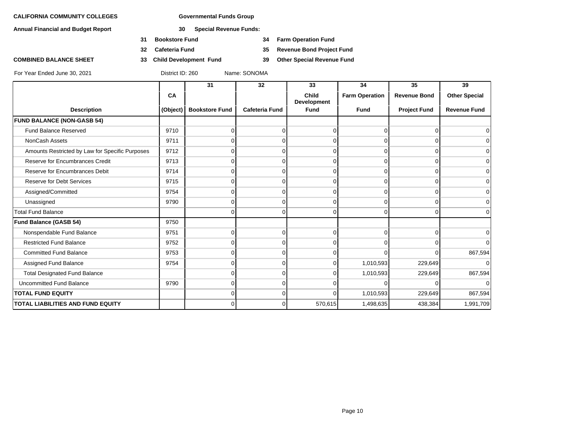**Annual Financial and Budget Report 30 Special Revenue Funds:**

- **31 Bookstore Fund 34 Farm Operation Fund**
- 
- **COMBINED BALANCE SHEET 33 Child Development Fund 39 Other Special Revenue Fund**

**32 Cafeteria Fund 35 Revenue Bond Project Fund**

|                                                 |          | 31                    | 32                    | 33                                 | 34                    | 35                  | 39                   |
|-------------------------------------------------|----------|-----------------------|-----------------------|------------------------------------|-----------------------|---------------------|----------------------|
|                                                 | CA       |                       |                       | <b>Child</b><br><b>Development</b> | <b>Farm Operation</b> | <b>Revenue Bond</b> | <b>Other Special</b> |
| <b>Description</b>                              | (Object) | <b>Bookstore Fund</b> | <b>Cafeteria Fund</b> | <b>Fund</b>                        | <b>Fund</b>           | <b>Project Fund</b> | <b>Revenue Fund</b>  |
| <b>FUND BALANCE (NON-GASB 54)</b>               |          |                       |                       |                                    |                       |                     |                      |
| <b>Fund Balance Reserved</b>                    | 9710     | 0                     |                       | $\Omega$                           | 0                     | 0                   | $\Omega$             |
| NonCash Assets                                  | 9711     |                       |                       | $\Omega$                           | 0                     | 0                   | $\overline{0}$       |
| Amounts Restricted by Law for Specific Purposes | 9712     |                       |                       | $\Omega$                           | 0                     | O                   | $\overline{0}$       |
| Reserve for Encumbrances Credit                 | 9713     | $\Omega$              | 0                     | $\Omega$                           | $\Omega$              | $\Omega$            | 0                    |
| Reserve for Encumbrances Debit                  | 9714     | ი                     |                       | $\Omega$                           | $\Omega$              | 0                   | $\overline{0}$       |
| <b>Reserve for Debt Services</b>                | 9715     |                       |                       | $\Omega$                           | $\Omega$              | O                   | $\overline{0}$       |
| Assigned/Committed                              | 9754     | $\Omega$              | <sup>0</sup>          | $\Omega$                           | $\Omega$              | $\Omega$            | 0                    |
| Unassigned                                      | 9790     | 0                     | 0                     | $\Omega$                           | $\Omega$              | 0                   | $\overline{0}$       |
| <b>Total Fund Balance</b>                       |          | 0                     | 0                     | $\Omega$                           | $\Omega$              | 0                   | $\Omega$             |
| Fund Balance (GASB 54)                          | 9750     |                       |                       |                                    |                       |                     |                      |
| Nonspendable Fund Balance                       | 9751     | 0                     | 0                     | $\overline{0}$                     | $\Omega$              | $\Omega$            | $\overline{0}$       |
| <b>Restricted Fund Balance</b>                  | 9752     | ი                     |                       | $\Omega$                           | 0                     | O                   | $\overline{0}$       |
| <b>Committed Fund Balance</b>                   | 9753     | O                     |                       | $\Omega$                           | <sup>n</sup>          | $\Omega$            | 867,594              |
| Assigned Fund Balance                           | 9754     | ი                     |                       | $\Omega$                           | 1,010,593             | 229,649             | $\Omega$             |
| <b>Total Designated Fund Balance</b>            |          | O                     |                       | $\Omega$                           | 1,010,593             | 229,649             | 867,594              |
| Uncommitted Fund Balance                        | 9790     | O                     |                       |                                    | <sup>n</sup>          | U                   | $\overline{0}$       |
| <b>TOTAL FUND EQUITY</b>                        |          | U                     |                       | $\Omega$                           | 1,010,593             | 229,649             | 867,594              |
| <b>TOTAL LIABILITIES AND FUND EQUITY</b>        |          | $\Omega$              | 0                     | 570,615                            | 1,498,635             | 438,384             | 1,991,709            |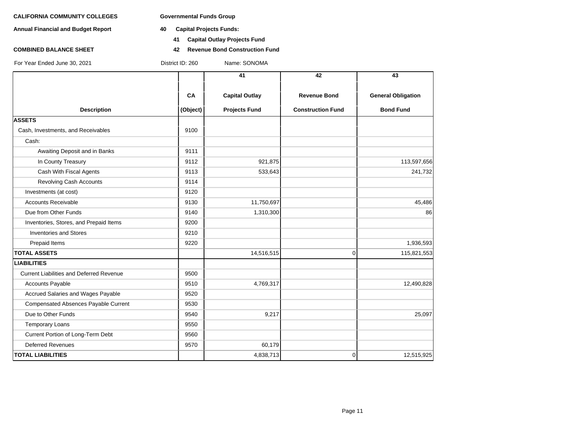**Annual Financial and Budget Report 40 Capital Projects Funds:**

- - **41 Capital Outlay Projects Fund**
- **COMBINED BALANCE SHEET 42 Revenue Bond Construction Fund**

|                                                 |          | 41                    | 42                       | 43                        |
|-------------------------------------------------|----------|-----------------------|--------------------------|---------------------------|
|                                                 |          |                       |                          |                           |
|                                                 | CA       | <b>Capital Outlay</b> | <b>Revenue Bond</b>      | <b>General Obligation</b> |
| <b>Description</b>                              | (Object) | <b>Projects Fund</b>  | <b>Construction Fund</b> | <b>Bond Fund</b>          |
| <b>ASSETS</b>                                   |          |                       |                          |                           |
| Cash, Investments, and Receivables              | 9100     |                       |                          |                           |
| Cash:                                           |          |                       |                          |                           |
| Awaiting Deposit and in Banks                   | 9111     |                       |                          |                           |
| In County Treasury                              | 9112     | 921,875               |                          | 113,597,656               |
| Cash With Fiscal Agents                         | 9113     | 533,643               |                          | 241,732                   |
| <b>Revolving Cash Accounts</b>                  | 9114     |                       |                          |                           |
| Investments (at cost)                           | 9120     |                       |                          |                           |
| <b>Accounts Receivable</b>                      | 9130     | 11,750,697            |                          | 45,486                    |
| Due from Other Funds                            | 9140     | 1,310,300             |                          | 86                        |
| Inventories, Stores, and Prepaid Items          | 9200     |                       |                          |                           |
| <b>Inventories and Stores</b>                   | 9210     |                       |                          |                           |
| Prepaid Items                                   | 9220     |                       |                          | 1,936,593                 |
| <b>TOTAL ASSETS</b>                             |          | 14,516,515            | $\mathbf 0$              | 115,821,553               |
| <b>LIABILITIES</b>                              |          |                       |                          |                           |
| <b>Current Liabilities and Deferred Revenue</b> | 9500     |                       |                          |                           |
| <b>Accounts Payable</b>                         | 9510     | 4,769,317             |                          | 12,490,828                |
| Accrued Salaries and Wages Payable              | 9520     |                       |                          |                           |
| <b>Compensated Absences Payable Current</b>     | 9530     |                       |                          |                           |
| Due to Other Funds                              | 9540     | 9,217                 |                          | 25,097                    |
| <b>Temporary Loans</b>                          | 9550     |                       |                          |                           |
| Current Portion of Long-Term Debt               | 9560     |                       |                          |                           |
| <b>Deferred Revenues</b>                        | 9570     | 60,179                |                          |                           |
| <b>TOTAL LIABILITIES</b>                        |          | 4,838,713             | $\mathbf 0$              | 12,515,925                |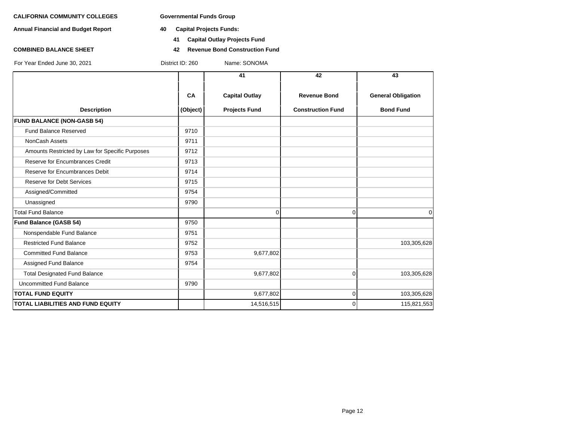**Annual Financial and Budget Report 40 Capital Projects Funds:**

- - **41 Capital Outlay Projects Fund**
- **COMBINED BALANCE SHEET 42 Revenue Bond Construction Fund**

|                                                 |          | 41                    | 42                       | 43                        |
|-------------------------------------------------|----------|-----------------------|--------------------------|---------------------------|
|                                                 | CA       | <b>Capital Outlay</b> | <b>Revenue Bond</b>      | <b>General Obligation</b> |
| <b>Description</b>                              | (Object) | <b>Projects Fund</b>  | <b>Construction Fund</b> | <b>Bond Fund</b>          |
| <b>FUND BALANCE (NON-GASB 54)</b>               |          |                       |                          |                           |
| <b>Fund Balance Reserved</b>                    | 9710     |                       |                          |                           |
| NonCash Assets                                  | 9711     |                       |                          |                           |
| Amounts Restricted by Law for Specific Purposes | 9712     |                       |                          |                           |
| Reserve for Encumbrances Credit                 | 9713     |                       |                          |                           |
| Reserve for Encumbrances Debit                  | 9714     |                       |                          |                           |
| <b>Reserve for Debt Services</b>                | 9715     |                       |                          |                           |
| Assigned/Committed                              | 9754     |                       |                          |                           |
| Unassigned                                      | 9790     |                       |                          |                           |
| <b>Total Fund Balance</b>                       |          | 0                     | $\Omega$                 | $\mathbf 0$               |
| <b>Fund Balance (GASB 54)</b>                   | 9750     |                       |                          |                           |
| Nonspendable Fund Balance                       | 9751     |                       |                          |                           |
| <b>Restricted Fund Balance</b>                  | 9752     |                       |                          | 103,305,628               |
| <b>Committed Fund Balance</b>                   | 9753     | 9,677,802             |                          |                           |
| Assigned Fund Balance                           | 9754     |                       |                          |                           |
| <b>Total Designated Fund Balance</b>            |          | 9,677,802             | $\Omega$                 | 103,305,628               |
| <b>Uncommitted Fund Balance</b>                 | 9790     |                       |                          |                           |
| <b>TOTAL FUND EQUITY</b>                        |          | 9,677,802             | $\Omega$                 | 103,305,628               |
| <b>TOTAL LIABILITIES AND FUND EQUITY</b>        |          | 14,516,515            | $\Omega$                 | 115,821,553               |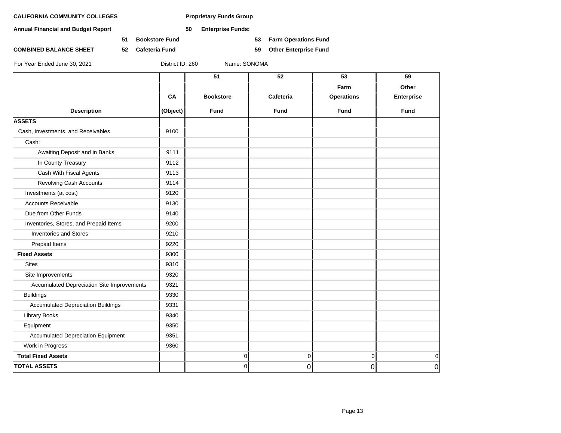**Annual Financial and Budget Report 50 Enterprise Funds:**

**51 Bookstore Fund 53 Farm Operations Fund**

**COMBINED BALANCE SHEET 52 Cafeteria Fund 59 Other Enterprise Fund**

|                                            |          | 51               | 52          | 53                | 59                |
|--------------------------------------------|----------|------------------|-------------|-------------------|-------------------|
|                                            |          |                  |             | Farm              | Other             |
|                                            | CA       | <b>Bookstore</b> | Cafeteria   | <b>Operations</b> | <b>Enterprise</b> |
| <b>Description</b>                         | (Object) | <b>Fund</b>      | <b>Fund</b> | <b>Fund</b>       | <b>Fund</b>       |
| <b>ASSETS</b>                              |          |                  |             |                   |                   |
| Cash, Investments, and Receivables         | 9100     |                  |             |                   |                   |
| Cash:                                      |          |                  |             |                   |                   |
| Awaiting Deposit and in Banks              | 9111     |                  |             |                   |                   |
| In County Treasury                         | 9112     |                  |             |                   |                   |
| Cash With Fiscal Agents                    | 9113     |                  |             |                   |                   |
| Revolving Cash Accounts                    | 9114     |                  |             |                   |                   |
| Investments (at cost)                      | 9120     |                  |             |                   |                   |
| <b>Accounts Receivable</b>                 | 9130     |                  |             |                   |                   |
| Due from Other Funds                       | 9140     |                  |             |                   |                   |
| Inventories, Stores, and Prepaid Items     | 9200     |                  |             |                   |                   |
| <b>Inventories and Stores</b>              | 9210     |                  |             |                   |                   |
| Prepaid Items                              | 9220     |                  |             |                   |                   |
| <b>Fixed Assets</b>                        | 9300     |                  |             |                   |                   |
| <b>Sites</b>                               | 9310     |                  |             |                   |                   |
| Site Improvements                          | 9320     |                  |             |                   |                   |
| Accumulated Depreciation Site Improvements | 9321     |                  |             |                   |                   |
| <b>Buildings</b>                           | 9330     |                  |             |                   |                   |
| <b>Accumulated Depreciation Buildings</b>  | 9331     |                  |             |                   |                   |
| <b>Library Books</b>                       | 9340     |                  |             |                   |                   |
| Equipment                                  | 9350     |                  |             |                   |                   |
| <b>Accumulated Depreciation Equipment</b>  | 9351     |                  |             |                   |                   |
| Work in Progress                           | 9360     |                  |             |                   |                   |
| <b>Total Fixed Assets</b>                  |          | 0                | 0           | $\overline{0}$    | $\mathbf 0$       |
| <b>TOTAL ASSETS</b>                        |          | 0                | 0           | 0                 | $\overline{0}$    |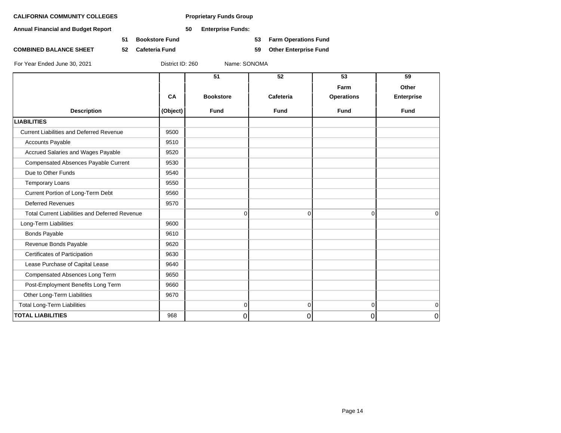**Annual Financial and Budget Report 50 Enterprise Funds:**

**51 Bookstore Fund 53 Farm Operations Fund**

**COMBINED BALANCE SHEET 52 Cafeteria Fund 59 Other Enterprise Fund**

|                                                       |          | 51               | 52             | 53                | 59                |
|-------------------------------------------------------|----------|------------------|----------------|-------------------|-------------------|
|                                                       |          |                  |                | Farm              | Other             |
|                                                       | CA       | <b>Bookstore</b> | Cafeteria      | <b>Operations</b> | <b>Enterprise</b> |
| <b>Description</b>                                    | (Object) | <b>Fund</b>      | <b>Fund</b>    | <b>Fund</b>       | <b>Fund</b>       |
| <b>LIABILITIES</b>                                    |          |                  |                |                   |                   |
| <b>Current Liabilities and Deferred Revenue</b>       | 9500     |                  |                |                   |                   |
| <b>Accounts Payable</b>                               | 9510     |                  |                |                   |                   |
| Accrued Salaries and Wages Payable                    | 9520     |                  |                |                   |                   |
| <b>Compensated Absences Payable Current</b>           | 9530     |                  |                |                   |                   |
| Due to Other Funds                                    | 9540     |                  |                |                   |                   |
| <b>Temporary Loans</b>                                | 9550     |                  |                |                   |                   |
| Current Portion of Long-Term Debt                     | 9560     |                  |                |                   |                   |
| <b>Deferred Revenues</b>                              | 9570     |                  |                |                   |                   |
| <b>Total Current Liabilities and Deferred Revenue</b> |          | $\mathbf 0$      | $\overline{0}$ | $\overline{0}$    | 0                 |
| Long-Term Liabilities                                 | 9600     |                  |                |                   |                   |
| <b>Bonds Payable</b>                                  | 9610     |                  |                |                   |                   |
| Revenue Bonds Payable                                 | 9620     |                  |                |                   |                   |
| Certificates of Participation                         | 9630     |                  |                |                   |                   |
| Lease Purchase of Capital Lease                       | 9640     |                  |                |                   |                   |
| Compensated Absences Long Term                        | 9650     |                  |                |                   |                   |
| Post-Employment Benefits Long Term                    | 9660     |                  |                |                   |                   |
| Other Long-Term Liabilities                           | 9670     |                  |                |                   |                   |
| <b>Total Long-Term Liabilities</b>                    |          | $\mathbf 0$      | $\Omega$       | $\Omega$          | 0                 |
| <b>TOTAL LIABILITIES</b>                              | 968      | 0                | 0              | 0                 | $\mathbf 0$       |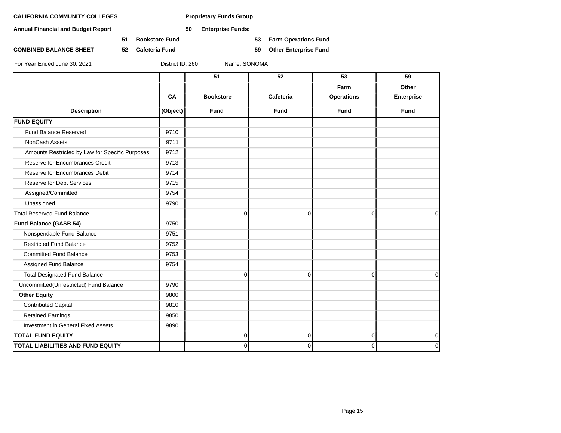**Annual Financial and Budget Report 50 Enterprise Funds:**

**51 Bookstore Fund 53 Farm Operations Fund**

**COMBINED BALANCE SHEET 52 Cafeteria Fund 59 Other Enterprise Fund**

|                                                 |          | 51               | 52          | $\overline{53}$   | 59                |
|-------------------------------------------------|----------|------------------|-------------|-------------------|-------------------|
|                                                 |          |                  |             | Farm              | Other             |
|                                                 | CA       | <b>Bookstore</b> | Cafeteria   | <b>Operations</b> | <b>Enterprise</b> |
| <b>Description</b>                              | (Object) | <b>Fund</b>      | <b>Fund</b> | <b>Fund</b>       | <b>Fund</b>       |
| <b>FUND EQUITY</b>                              |          |                  |             |                   |                   |
| Fund Balance Reserved                           | 9710     |                  |             |                   |                   |
| NonCash Assets                                  | 9711     |                  |             |                   |                   |
| Amounts Restricted by Law for Specific Purposes | 9712     |                  |             |                   |                   |
| Reserve for Encumbrances Credit                 | 9713     |                  |             |                   |                   |
| Reserve for Encumbrances Debit                  | 9714     |                  |             |                   |                   |
| <b>Reserve for Debt Services</b>                | 9715     |                  |             |                   |                   |
| Assigned/Committed                              | 9754     |                  |             |                   |                   |
| Unassigned                                      | 9790     |                  |             |                   |                   |
| <b>Total Reserved Fund Balance</b>              |          | $\Omega$         | $\Omega$    | $\Omega$          | $\Omega$          |
| <b>Fund Balance (GASB 54)</b>                   | 9750     |                  |             |                   |                   |
| Nonspendable Fund Balance                       | 9751     |                  |             |                   |                   |
| <b>Restricted Fund Balance</b>                  | 9752     |                  |             |                   |                   |
| <b>Committed Fund Balance</b>                   | 9753     |                  |             |                   |                   |
| Assigned Fund Balance                           | 9754     |                  |             |                   |                   |
| <b>Total Designated Fund Balance</b>            |          | 0                | 0           | $\mathbf 0$       | $\mathbf 0$       |
| Uncommitted(Unrestricted) Fund Balance          | 9790     |                  |             |                   |                   |
| <b>Other Equity</b>                             | 9800     |                  |             |                   |                   |
| <b>Contributed Capital</b>                      | 9810     |                  |             |                   |                   |
| <b>Retained Earnings</b>                        | 9850     |                  |             |                   |                   |
| <b>Investment in General Fixed Assets</b>       | 9890     |                  |             |                   |                   |
| <b>TOTAL FUND EQUITY</b>                        |          | 0                | 0           | $\Omega$          | $\mathbf 0$       |
| TOTAL LIABILITIES AND FUND EQUITY               |          | 0                | 0           | $\mathbf 0$       | $\mathbf 0$       |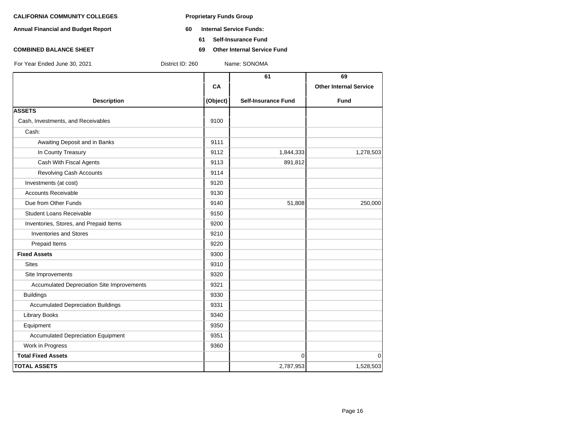- **Annual Financial and Budget Report 60 Internal Service Funds:**
	- **61 Self-Insurance Fund**
- **COMBINED BALANCE SHEET 69 Other Internal Service Fund**

|                                            |          | 61                         | 69                            |
|--------------------------------------------|----------|----------------------------|-------------------------------|
|                                            | CA       |                            | <b>Other Internal Service</b> |
| <b>Description</b>                         | (Object) | <b>Self-Insurance Fund</b> | <b>Fund</b>                   |
| <b>ASSETS</b>                              |          |                            |                               |
| Cash, Investments, and Receivables         | 9100     |                            |                               |
| Cash:                                      |          |                            |                               |
| Awaiting Deposit and in Banks              | 9111     |                            |                               |
| In County Treasury                         | 9112     | 1,844,333                  | 1,278,503                     |
| Cash With Fiscal Agents                    | 9113     | 891,812                    |                               |
| Revolving Cash Accounts                    | 9114     |                            |                               |
| Investments (at cost)                      | 9120     |                            |                               |
| <b>Accounts Receivable</b>                 | 9130     |                            |                               |
| Due from Other Funds                       | 9140     | 51,808                     | 250,000                       |
| <b>Student Loans Receivable</b>            | 9150     |                            |                               |
| Inventories, Stores, and Prepaid Items     | 9200     |                            |                               |
| <b>Inventories and Stores</b>              | 9210     |                            |                               |
| Prepaid Items                              | 9220     |                            |                               |
| <b>Fixed Assets</b>                        | 9300     |                            |                               |
| <b>Sites</b>                               | 9310     |                            |                               |
| Site Improvements                          | 9320     |                            |                               |
| Accumulated Depreciation Site Improvements | 9321     |                            |                               |
| <b>Buildings</b>                           | 9330     |                            |                               |
| <b>Accumulated Depreciation Buildings</b>  | 9331     |                            |                               |
| <b>Library Books</b>                       | 9340     |                            |                               |
| Equipment                                  | 9350     |                            |                               |
| <b>Accumulated Depreciation Equipment</b>  | 9351     |                            |                               |
| Work in Progress                           | 9360     |                            |                               |
| <b>Total Fixed Assets</b>                  |          | $\mathbf 0$                | $\Omega$                      |
| <b>TOTAL ASSETS</b>                        |          | 2,787,953                  | 1,528,503                     |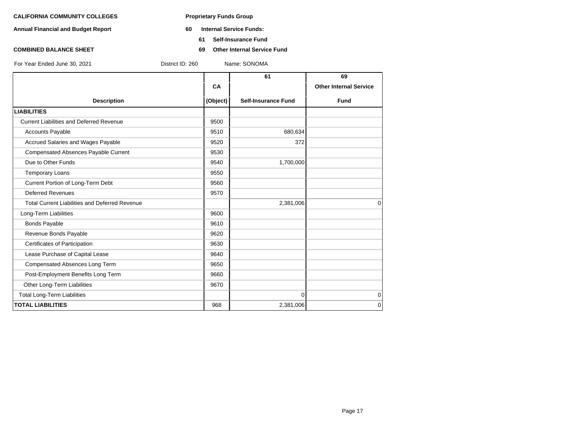- **Annual Financial and Budget Report 60 Internal Service Funds:**
	- **61 Self-Insurance Fund**
- **COMBINED BALANCE SHEET 69 Other Internal Service Fund**

**61 69 CA I Other Internal Service Description (Object) Self-Insurance Fund Fund LIABILITIES** Current Liabilities and Deferred Revenue **12000** 9500 Accounts Payable 680,634 Accrued Salaries and Wages Payable 19520 372 Compensated Absences Payable Current 19530 **Due to Other Funds** 1,700,000 Temporary Loans 80 and 19550 Current Portion of Long-Term Debt 9560 Deferred Revenues 2570 Total Current Liabilities and Deferred Revenue 2,381,006 2,381,006 0 Long-Term Liabilities **19600 19600** Bonds Payable 9610 Revenue Bonds Payable 9620 Certificates of Participation 9630 Lease Purchase of Capital Lease 9640 Compensated Absences Long Term 9650 Post-Employment Benefits Long Term **19660** 9660 Other Long-Term Liabilities 9670 Total Long-Term Liabilities 0 0 **TOTAL LIABILITIES** 968 2,381,006 0 For Year Ended June 30, 2021 District ID: 260 Name: SONOMA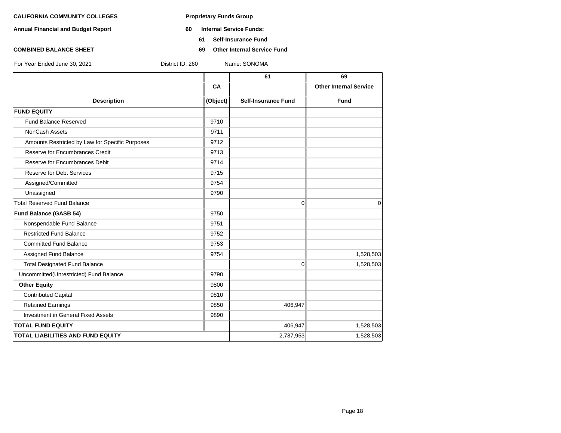- **Annual Financial and Budget Report 60 Internal Service Funds:**
	- **61 Self-Insurance Fund**
- **COMBINED BALANCE SHEET 69 Other Internal Service Fund**

|                                                 |          | 61                         | 69                            |
|-------------------------------------------------|----------|----------------------------|-------------------------------|
|                                                 | CA       |                            | <b>Other Internal Service</b> |
| <b>Description</b>                              | (Object) | <b>Self-Insurance Fund</b> | <b>Fund</b>                   |
| <b>FUND EQUITY</b>                              |          |                            |                               |
| <b>Fund Balance Reserved</b>                    | 9710     |                            |                               |
| NonCash Assets                                  | 9711     |                            |                               |
| Amounts Restricted by Law for Specific Purposes | 9712     |                            |                               |
| Reserve for Encumbrances Credit                 | 9713     |                            |                               |
| Reserve for Encumbrances Debit                  | 9714     |                            |                               |
| <b>Reserve for Debt Services</b>                | 9715     |                            |                               |
| Assigned/Committed                              | 9754     |                            |                               |
| Unassigned                                      | 9790     |                            |                               |
| <b>Total Reserved Fund Balance</b>              |          | $\Omega$                   | $\Omega$                      |
| Fund Balance (GASB 54)                          | 9750     |                            |                               |
| Nonspendable Fund Balance                       | 9751     |                            |                               |
| <b>Restricted Fund Balance</b>                  | 9752     |                            |                               |
| <b>Committed Fund Balance</b>                   | 9753     |                            |                               |
| Assigned Fund Balance                           | 9754     |                            | 1,528,503                     |
| <b>Total Designated Fund Balance</b>            |          | $\mathbf{0}$               | 1,528,503                     |
| Uncommitted(Unrestricted) Fund Balance          | 9790     |                            |                               |
| <b>Other Equity</b>                             | 9800     |                            |                               |
| <b>Contributed Capital</b>                      | 9810     |                            |                               |
| <b>Retained Earnings</b>                        | 9850     | 406,947                    |                               |
| <b>Investment in General Fixed Assets</b>       | 9890     |                            |                               |
| <b>TOTAL FUND EQUITY</b>                        |          | 406,947                    | 1,528,503                     |
| <b>TOTAL LIABILITIES AND FUND EQUITY</b>        |          | 2,787,953                  | 1,528,503                     |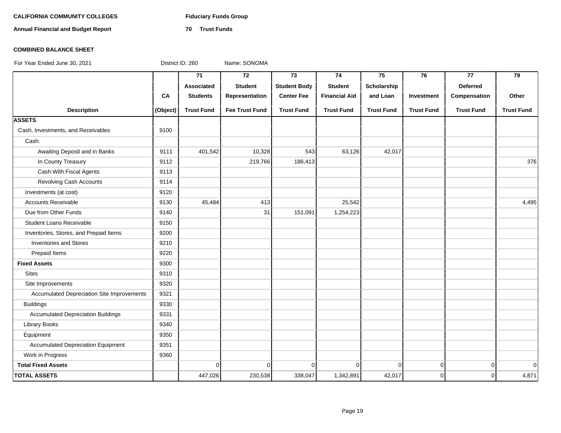# CALIFORNIA COMMUNITY COLLEGES Fiduciary Funds Group

**Annual Financial and Budget Report 70 Trust Funds**

### **COMBINED BALANCE SHEET**

|                                                   |          | 71                | $\overline{72}$       | $\overline{73}$     | $\overline{74}$      | 75                | 76                | $\overline{77}$   | $\overline{79}$   |
|---------------------------------------------------|----------|-------------------|-----------------------|---------------------|----------------------|-------------------|-------------------|-------------------|-------------------|
|                                                   |          | Associated        | <b>Student</b>        | <b>Student Body</b> | <b>Student</b>       | Scholarship       |                   | <b>Deferred</b>   |                   |
|                                                   | CA       | <b>Students</b>   | Representation        | <b>Center Fee</b>   | <b>Financial Aid</b> | and Loan          | Investment        | Compensation      | Other             |
| <b>Description</b>                                | (Object) | <b>Trust Fund</b> | <b>Fee Trust Fund</b> | <b>Trust Fund</b>   | <b>Trust Fund</b>    | <b>Trust Fund</b> | <b>Trust Fund</b> | <b>Trust Fund</b> | <b>Trust Fund</b> |
| <b>ASSETS</b>                                     |          |                   |                       |                     |                      |                   |                   |                   |                   |
| Cash, Investments, and Receivables                | 9100     |                   |                       |                     |                      |                   |                   |                   |                   |
| Cash:                                             |          |                   |                       |                     |                      |                   |                   |                   |                   |
| Awaiting Deposit and in Banks                     | 9111     | 401,542           | 10,328                | 543                 | 63,126               | 42,017            |                   |                   |                   |
| In County Treasury                                | 9112     |                   | 219,766               | 186,413             |                      |                   |                   |                   | 376               |
| Cash With Fiscal Agents                           | 9113     |                   |                       |                     |                      |                   |                   |                   |                   |
| Revolving Cash Accounts                           | 9114     |                   |                       |                     |                      |                   |                   |                   |                   |
| Investments (at cost)                             | 9120     |                   |                       |                     |                      |                   |                   |                   |                   |
| Accounts Receivable                               | 9130     | 45,484            | 413                   |                     | 25,542               |                   |                   |                   | 4,495             |
| Due from Other Funds                              | 9140     |                   | 31                    | 151,091             | 1,254,223            |                   |                   |                   |                   |
| <b>Student Loans Receivable</b>                   | 9150     |                   |                       |                     |                      |                   |                   |                   |                   |
| Inventories, Stores, and Prepaid Items            | 9200     |                   |                       |                     |                      |                   |                   |                   |                   |
| <b>Inventories and Stores</b>                     | 9210     |                   |                       |                     |                      |                   |                   |                   |                   |
| Prepaid Items                                     | 9220     |                   |                       |                     |                      |                   |                   |                   |                   |
| <b>Fixed Assets</b>                               | 9300     |                   |                       |                     |                      |                   |                   |                   |                   |
| <b>Sites</b>                                      | 9310     |                   |                       |                     |                      |                   |                   |                   |                   |
| Site Improvements                                 | 9320     |                   |                       |                     |                      |                   |                   |                   |                   |
| <b>Accumulated Depreciation Site Improvements</b> | 9321     |                   |                       |                     |                      |                   |                   |                   |                   |
| <b>Buildings</b>                                  | 9330     |                   |                       |                     |                      |                   |                   |                   |                   |
| <b>Accumulated Depreciation Buildings</b>         | 9331     |                   |                       |                     |                      |                   |                   |                   |                   |
| Library Books                                     | 9340     |                   |                       |                     |                      |                   |                   |                   |                   |
| Equipment                                         | 9350     |                   |                       |                     |                      |                   |                   |                   |                   |
| <b>Accumulated Depreciation Equipment</b>         | 9351     |                   |                       |                     |                      |                   |                   |                   |                   |
| Work in Progress                                  | 9360     |                   |                       |                     |                      |                   |                   |                   |                   |
| <b>Total Fixed Assets</b>                         |          | $\Omega$          | $\overline{0}$        | $\Omega$            | $\mathbf{0}$         | $\Omega$          | $\mathbf 0$       | $\overline{0}$    | $\mathbf 0$       |
| <b>TOTAL ASSETS</b>                               |          | 447,026           | 230,538               | 338,047             | 1,342,891            | 42,017            | $\overline{0}$    | $\Omega$          | 4,871             |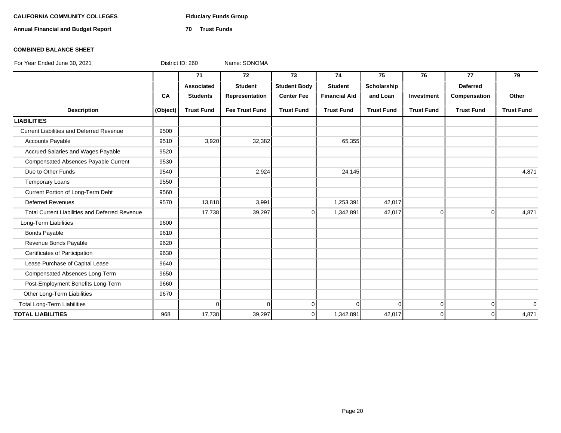# CALIFORNIA COMMUNITY COLLEGES Fiduciary Funds Group

**Annual Financial and Budget Report 70 Trust Funds**

### **COMBINED BALANCE SHEET**

|                                                       |          | $\overline{71}$   | $\overline{72}$       | 73                  | 74                   | 75                | 76                | 77                | 79                |
|-------------------------------------------------------|----------|-------------------|-----------------------|---------------------|----------------------|-------------------|-------------------|-------------------|-------------------|
|                                                       |          | Associated        | <b>Student</b>        | <b>Student Body</b> | <b>Student</b>       | Scholarship       |                   | <b>Deferred</b>   |                   |
|                                                       | CA       | <b>Students</b>   | Representation        | <b>Center Fee</b>   | <b>Financial Aid</b> | and Loan          | Investment        | Compensation      | Other             |
| <b>Description</b>                                    | (Object) | <b>Trust Fund</b> | <b>Fee Trust Fund</b> | <b>Trust Fund</b>   | <b>Trust Fund</b>    | <b>Trust Fund</b> | <b>Trust Fund</b> | <b>Trust Fund</b> | <b>Trust Fund</b> |
| <b>LIABILITIES</b>                                    |          |                   |                       |                     |                      |                   |                   |                   |                   |
| <b>Current Liabilities and Deferred Revenue</b>       | 9500     |                   |                       |                     |                      |                   |                   |                   |                   |
| <b>Accounts Payable</b>                               | 9510     | 3,920             | 32,382                |                     | 65,355               |                   |                   |                   |                   |
| Accrued Salaries and Wages Payable                    | 9520     |                   |                       |                     |                      |                   |                   |                   |                   |
| Compensated Absences Payable Current                  | 9530     |                   |                       |                     |                      |                   |                   |                   |                   |
| Due to Other Funds                                    | 9540     |                   | 2,924                 |                     | 24,145               |                   |                   |                   | 4,871             |
| Temporary Loans                                       | 9550     |                   |                       |                     |                      |                   |                   |                   |                   |
| Current Portion of Long-Term Debt                     | 9560     |                   |                       |                     |                      |                   |                   |                   |                   |
| <b>Deferred Revenues</b>                              | 9570     | 13,818            | 3,991                 |                     | 1,253,391            | 42,017            |                   |                   |                   |
| <b>Total Current Liabilities and Deferred Revenue</b> |          | 17,738            | 39,297                | $\mathbf 0$         | 1,342,891            | 42,017            | $\Omega$          | $\overline{0}$    | 4,871             |
| Long-Term Liabilities                                 | 9600     |                   |                       |                     |                      |                   |                   |                   |                   |
| <b>Bonds Payable</b>                                  | 9610     |                   |                       |                     |                      |                   |                   |                   |                   |
| Revenue Bonds Payable                                 | 9620     |                   |                       |                     |                      |                   |                   |                   |                   |
| Certificates of Participation                         | 9630     |                   |                       |                     |                      |                   |                   |                   |                   |
| Lease Purchase of Capital Lease                       | 9640     |                   |                       |                     |                      |                   |                   |                   |                   |
| Compensated Absences Long Term                        | 9650     |                   |                       |                     |                      |                   |                   |                   |                   |
| Post-Employment Benefits Long Term                    | 9660     |                   |                       |                     |                      |                   |                   |                   |                   |
| Other Long-Term Liabilities                           | 9670     |                   |                       |                     |                      |                   |                   |                   |                   |
| <b>Total Long-Term Liabilities</b>                    |          | $\Omega$          | $\Omega$              | $\Omega$            | O                    | 0                 | $\overline{0}$    | $\overline{0}$    | $\Omega$          |
| <b>TOTAL LIABILITIES</b>                              | 968      | 17,738            | 39,297                | $\Omega$            | 1,342,891            | 42,017            | $\Omega$          | $\Omega$          | 4,871             |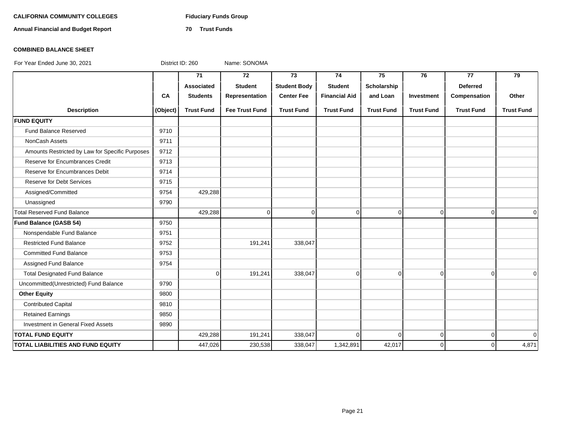# CALIFORNIA COMMUNITY COLLEGES Fiduciary Funds Group

**Annual Financial and Budget Report 70 Trust Funds**

### **COMBINED BALANCE SHEET**

|                                                 |          | 71                | 72                    | 73                  | 74                   | 75                | 76                | 77                | 79                |
|-------------------------------------------------|----------|-------------------|-----------------------|---------------------|----------------------|-------------------|-------------------|-------------------|-------------------|
|                                                 |          | Associated        | <b>Student</b>        | <b>Student Body</b> | <b>Student</b>       | Scholarship       |                   | <b>Deferred</b>   |                   |
|                                                 | CA       | <b>Students</b>   | Representation        | <b>Center Fee</b>   | <b>Financial Aid</b> | and Loan          | Investment        | Compensation      | Other             |
| <b>Description</b>                              | (Object) | <b>Trust Fund</b> | <b>Fee Trust Fund</b> | <b>Trust Fund</b>   | <b>Trust Fund</b>    | <b>Trust Fund</b> | <b>Trust Fund</b> | <b>Trust Fund</b> | <b>Trust Fund</b> |
| <b>FUND EQUITY</b>                              |          |                   |                       |                     |                      |                   |                   |                   |                   |
| <b>Fund Balance Reserved</b>                    | 9710     |                   |                       |                     |                      |                   |                   |                   |                   |
| NonCash Assets                                  | 9711     |                   |                       |                     |                      |                   |                   |                   |                   |
| Amounts Restricted by Law for Specific Purposes | 9712     |                   |                       |                     |                      |                   |                   |                   |                   |
| Reserve for Encumbrances Credit                 | 9713     |                   |                       |                     |                      |                   |                   |                   |                   |
| Reserve for Encumbrances Debit                  | 9714     |                   |                       |                     |                      |                   |                   |                   |                   |
| <b>Reserve for Debt Services</b>                | 9715     |                   |                       |                     |                      |                   |                   |                   |                   |
| Assigned/Committed                              | 9754     | 429,288           |                       |                     |                      |                   |                   |                   |                   |
| Unassigned                                      | 9790     |                   |                       |                     |                      |                   |                   |                   |                   |
| <b>Total Reserved Fund Balance</b>              |          | 429,288           | $\Omega$              | $\mathbf 0$         | $\mathbf 0$          | $\overline{0}$    | $\overline{0}$    | $\Omega$          | 0                 |
| Fund Balance (GASB 54)                          | 9750     |                   |                       |                     |                      |                   |                   |                   |                   |
| Nonspendable Fund Balance                       | 9751     |                   |                       |                     |                      |                   |                   |                   |                   |
| <b>Restricted Fund Balance</b>                  | 9752     |                   | 191,241               | 338,047             |                      |                   |                   |                   |                   |
| <b>Committed Fund Balance</b>                   | 9753     |                   |                       |                     |                      |                   |                   |                   |                   |
| Assigned Fund Balance                           | 9754     |                   |                       |                     |                      |                   |                   |                   |                   |
| <b>Total Designated Fund Balance</b>            |          | $\overline{0}$    | 191,241               | 338,047             | 0                    | $\overline{0}$    | $\overline{0}$    | $\overline{0}$    | $\Omega$          |
| Uncommitted(Unrestricted) Fund Balance          | 9790     |                   |                       |                     |                      |                   |                   |                   |                   |
| <b>Other Equity</b>                             | 9800     |                   |                       |                     |                      |                   |                   |                   |                   |
| <b>Contributed Capital</b>                      | 9810     |                   |                       |                     |                      |                   |                   |                   |                   |
| <b>Retained Earnings</b>                        | 9850     |                   |                       |                     |                      |                   |                   |                   |                   |
| Investment in General Fixed Assets              | 9890     |                   |                       |                     |                      |                   |                   |                   |                   |
| <b>TOTAL FUND EQUITY</b>                        |          | 429,288           | 191,241               | 338,047             | 0                    | $\overline{0}$    | $\overline{0}$    | $\overline{0}$    | $\Omega$          |
| <b>TOTAL LIABILITIES AND FUND EQUITY</b>        |          | 447,026           | 230,538               | 338,047             | 1,342,891            | 42,017            | $\Omega$          | $\Omega$          | 4,871             |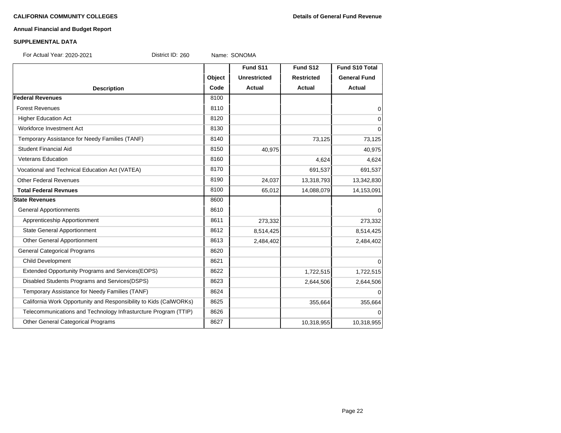# **Annual Financial and Budget Report**

### **SUPPLEMENTAL DATA**

For Actual Year: 2020-2021 District ID: 260 Name: SONOMA

|                                                                   |        | Fund S11            | Fund S12          | <b>Fund S10 Total</b> |
|-------------------------------------------------------------------|--------|---------------------|-------------------|-----------------------|
|                                                                   | Object | <b>Unrestricted</b> | <b>Restricted</b> | <b>General Fund</b>   |
| <b>Description</b>                                                | Code   | Actual              | <b>Actual</b>     | <b>Actual</b>         |
| <b>Federal Revenues</b>                                           | 8100   |                     |                   |                       |
| <b>Forest Revenues</b>                                            | 8110   |                     |                   | 0                     |
| <b>Higher Education Act</b>                                       | 8120   |                     |                   | 0                     |
| Workforce Investment Act                                          | 8130   |                     |                   | $\mathbf 0$           |
| Temporary Assistance for Needy Families (TANF)                    | 8140   |                     | 73,125            | 73,125                |
| <b>Student Financial Aid</b>                                      | 8150   | 40,975              |                   | 40,975                |
| <b>Veterans Education</b>                                         | 8160   |                     | 4,624             | 4,624                 |
| Vocational and Technical Education Act (VATEA)                    | 8170   |                     | 691,537           | 691,537               |
| <b>Other Federal Revenues</b>                                     | 8190   | 24,037              | 13,318,793        | 13,342,830            |
| <b>Total Federal Revnues</b>                                      | 8100   | 65,012              | 14,088,079        | 14,153,091            |
| <b>State Revenues</b>                                             | 8600   |                     |                   |                       |
| <b>General Apportionments</b>                                     | 8610   |                     |                   | $\Omega$              |
| Apprenticeship Apportionment                                      | 8611   | 273,332             |                   | 273,332               |
| <b>State General Apportionment</b>                                | 8612   | 8,514,425           |                   | 8,514,425             |
| Other General Apportionment                                       | 8613   | 2,484,402           |                   | 2,484,402             |
| <b>General Categorical Programs</b>                               | 8620   |                     |                   |                       |
| Child Development                                                 | 8621   |                     |                   | $\Omega$              |
| Extended Opportunity Programs and Services(EOPS)                  | 8622   |                     | 1,722,515         | 1,722,515             |
| Disabled Students Programs and Services(DSPS)                     | 8623   |                     | 2,644,506         | 2,644,506             |
| Temporary Assistance for Needy Families (TANF)                    | 8624   |                     |                   | $\Omega$              |
| California Work Opportunity and Responsibility to Kids (CalWORKs) | 8625   |                     | 355,664           | 355,664               |
| Telecommunications and Technology Infrasturcture Program (TTIP)   | 8626   |                     |                   | $\Omega$              |
| Other General Categorical Programs                                | 8627   |                     | 10,318,955        | 10,318,955            |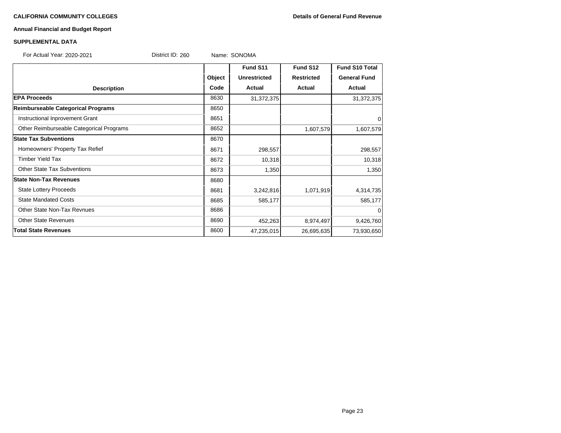# **Annual Financial and Budget Report**

### **SUPPLEMENTAL DATA**

| Fund S11<br>Fund S12<br><b>Fund S10 Total</b><br>Object<br><b>General Fund</b><br><b>Unrestricted</b><br><b>Restricted</b><br>Code<br><b>Actual</b><br><b>Actual</b><br>Actual<br><b>Description</b> |            |
|------------------------------------------------------------------------------------------------------------------------------------------------------------------------------------------------------|------------|
|                                                                                                                                                                                                      |            |
|                                                                                                                                                                                                      |            |
|                                                                                                                                                                                                      |            |
| <b>EPA Proceeds</b><br>8630<br>31,372,375                                                                                                                                                            | 31,372,375 |
| Reimburseable Categorical Programs<br>8650                                                                                                                                                           |            |
| Instructional Inprovement Grant<br>8651                                                                                                                                                              | 0          |
| Other Reimburseable Categorical Programs<br>8652<br>1,607,579                                                                                                                                        | 1,607,579  |
| <b>State Tax Subventions</b><br>8670                                                                                                                                                                 |            |
| Homeowners' Property Tax Refief<br>8671<br>298,557                                                                                                                                                   | 298,557    |
| <b>Timber Yield Tax</b><br>10,318<br>8672                                                                                                                                                            | 10,318     |
| <b>Other State Tax Subventions</b><br>8673<br>1,350                                                                                                                                                  | 1,350      |
| <b>State Non-Tax Revenues</b><br>8680                                                                                                                                                                |            |
| <b>State Lottery Proceeds</b><br>8681<br>3,242,816<br>1,071,919                                                                                                                                      | 4,314,735  |
| <b>State Mandated Costs</b><br>8685<br>585,177                                                                                                                                                       | 585,177    |
| <b>Other State Non-Tax Revnues</b><br>8686                                                                                                                                                           | 0          |
| <b>Other State Revenues</b><br>8690<br>452,263<br>8,974,497                                                                                                                                          | 9,426,760  |
| <b>Total State Revenues</b><br>8600<br>47,235,015<br>26,695,635                                                                                                                                      | 73,930,650 |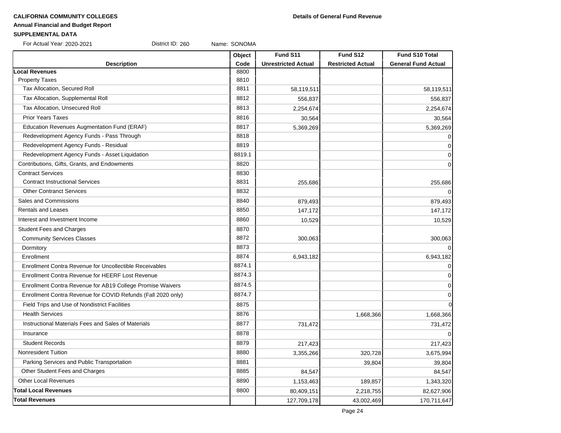# **Annual Financial and Budget Report**

# **SUPPLEMENTAL DATA**

| For Actual Year: 2020-2021 | District ID: 260 | Name: SONOMA |
|----------------------------|------------------|--------------|
|----------------------------|------------------|--------------|

|                                                              | Object | Fund S11                   | Fund S12                 | Fund S10 Total             |
|--------------------------------------------------------------|--------|----------------------------|--------------------------|----------------------------|
| <b>Description</b>                                           | Code   | <b>Unrestricted Actual</b> | <b>Restricted Actual</b> | <b>General Fund Actual</b> |
| <b>Local Revenues</b>                                        | 8800   |                            |                          |                            |
| <b>Property Taxes</b>                                        | 8810   |                            |                          |                            |
| Tax Allocation, Secured Roll                                 | 8811   | 58,119,511                 |                          | 58,119,511                 |
| Tax Allocation, Supplemental Roll                            | 8812   | 556,837                    |                          | 556,837                    |
| Tax Allocation, Unsecured Roll                               | 8813   | 2,254,674                  |                          | 2,254,674                  |
| <b>Prior Years Taxes</b>                                     | 8816   | 30,564                     |                          | 30,564                     |
| Education Revenues Augmentation Fund (ERAF)                  | 8817   | 5,369,269                  |                          | 5,369,269                  |
| Redevelopment Agency Funds - Pass Through                    | 8818   |                            |                          | $\overline{0}$             |
| Redevelopment Agency Funds - Residual                        | 8819   |                            |                          | $\overline{0}$             |
| Redevelopment Agency Funds - Asset Liquidation               | 8819.1 |                            |                          | $\overline{0}$             |
| Contributions, Gifts, Grants, and Endowments                 | 8820   |                            |                          | $\overline{0}$             |
| <b>Contract Services</b>                                     | 8830   |                            |                          |                            |
| <b>Contract Instructional Services</b>                       | 8831   | 255,686                    |                          | 255,686                    |
| <b>Other Contranct Services</b>                              | 8832   |                            |                          | $\overline{0}$             |
| Sales and Commissions                                        | 8840   | 879,493                    |                          | 879,493                    |
| <b>Rentals and Leases</b>                                    | 8850   | 147,172                    |                          | 147,172                    |
| Interest and Investment Income                               | 8860   | 10,529                     |                          | 10,529                     |
| <b>Student Fees and Charges</b>                              | 8870   |                            |                          |                            |
| <b>Community Services Classes</b>                            | 8872   | 300,063                    |                          | 300,063                    |
| Dormitory                                                    | 8873   |                            |                          | $\overline{0}$             |
| Enrollment                                                   | 8874   | 6,943,182                  |                          | 6,943,182                  |
| Enrollment Contra Revenue for Uncollectible Receivables      | 8874.1 |                            |                          | $\overline{0}$             |
| Enrollment Contra Revenue for HEERF Lost Revenue             | 8874.3 |                            |                          | $\overline{0}$             |
| Enrollment Contra Revenue for AB19 College Promise Waivers   | 8874.5 |                            |                          | $\overline{0}$             |
| Enrollment Contra Revenue for COVID Refunds (Fall 2020 only) | 8874.7 |                            |                          | $\overline{0}$             |
| Field Trips and Use of Nondistrict Facilities                | 8875   |                            |                          | $\overline{0}$             |
| <b>Health Services</b>                                       | 8876   |                            | 1,668,366                | 1,668,366                  |
| Instructional Materials Fees and Sales of Materials          | 8877   | 731,472                    |                          | 731,472                    |
| Insurance                                                    | 8878   |                            |                          | $\Omega$                   |
| <b>Student Records</b>                                       | 8879   | 217,423                    |                          | 217,423                    |
| <b>Nonresident Tuition</b>                                   | 8880   | 3,355,266                  | 320,728                  | 3,675,994                  |
| Parking Services and Public Transportation                   | 8881   |                            | 39,804                   | 39,804                     |
| Other Student Fees and Charges                               | 8885   | 84,547                     |                          | 84,547                     |
| <b>Other Local Revenues</b>                                  | 8890   | 1,153,463                  | 189,857                  | 1,343,320                  |
| <b>Total Local Revenues</b>                                  | 8800   | 80,409,151                 | 2,218,755                | 82,627,906                 |
| <b>Total Revenues</b>                                        |        | 127,709,178                | 43,002,469               | 170,711,647                |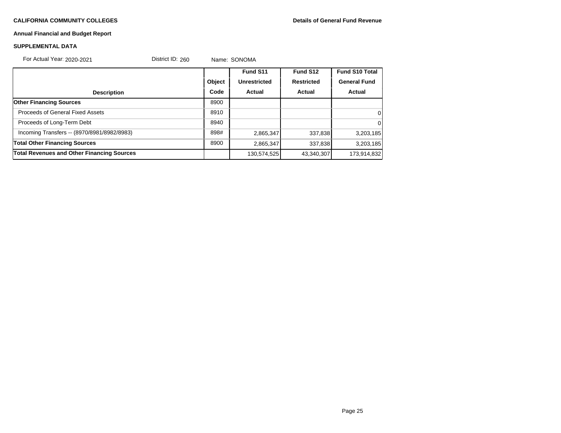### **Annual Financial and Budget Report**

### **SUPPLEMENTAL DATA**

For Actual Year: 2020-2021 District ID: 260 Name: SONOMA

|                                                   |        | Fund S11            | Fund S12          | <b>Fund S10 Total</b> |
|---------------------------------------------------|--------|---------------------|-------------------|-----------------------|
|                                                   | Object | <b>Unrestricted</b> | <b>Restricted</b> | <b>General Fund</b>   |
| <b>Description</b>                                | Code   | Actual              | Actual            | Actual                |
| <b>Other Financing Sources</b>                    | 8900   |                     |                   |                       |
| Proceeds of General Fixed Assets                  | 8910   |                     |                   | $\overline{0}$        |
| Proceeds of Long-Term Debt                        | 8940   |                     |                   | $\Omega$              |
| Incoming Transfers -- (8970/8981/8982/8983)       | 898#   | 2,865,347           | 337,838           | 3,203,185             |
| <b>Total Other Financing Sources</b>              | 8900   | 2,865,347           | 337,838           | 3,203,185             |
| <b>Total Revenues and Other Financing Sources</b> |        | 130,574,525         | 43,340,307        | 173,914,832           |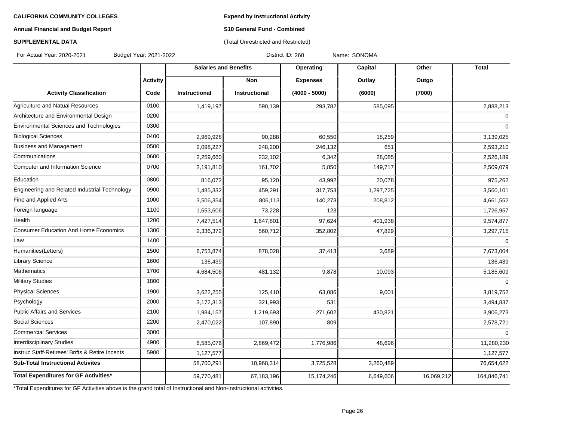**Expend by Instructional Activity**

# **Annual Financial and Budget Report**

# **S10 General Fund - Combined** (Total Unrestricted and Restricted)

# **SUPPLEMENTAL DATA**

For Actual Year: 2020-2021 Budget Year: 2021-2022 District ID: 260 Name: SONOMA

|                                                                                                                   |                 | <b>Salaries and Benefits</b> |                      | Operating       | Capital   | Other      | <b>Total</b>   |
|-------------------------------------------------------------------------------------------------------------------|-----------------|------------------------------|----------------------|-----------------|-----------|------------|----------------|
|                                                                                                                   | <b>Activity</b> |                              | <b>Non</b>           | <b>Expenses</b> | Outlay    | Outgo      |                |
| <b>Activity Classification</b>                                                                                    | Code            | <b>Instructional</b>         | <b>Instructional</b> | $(4000 - 5000)$ | (6000)    | (7000)     |                |
| Agriculture and Natual Resources                                                                                  | 0100            | 1,419,197                    | 590,139              | 293,782         | 585,095   |            | 2,888,213      |
| Architecture and Environmental Design                                                                             | 0200            |                              |                      |                 |           |            | $\overline{0}$ |
| Environmental Sciences and Technologies                                                                           | 0300            |                              |                      |                 |           |            | $\Omega$       |
| <b>Biological Sciences</b>                                                                                        | 0400            | 2,969,928                    | 90,288               | 60,550          | 18,259    |            | 3,139,025      |
| Business and Management                                                                                           | 0500            | 2,098,227                    | 248,200              | 246,132         | 651       |            | 2,593,210      |
| <b>Communications</b>                                                                                             | 0600            | 2,259,660                    | 232,102              | 6,342           | 28,085    |            | 2,526,189      |
| Computer and Information Science                                                                                  | 0700            | 2,191,810                    | 161,702              | 5,850           | 149,717   |            | 2,509,079      |
| Education                                                                                                         | 0800            | 816,072                      | 95,120               | 43,992          | 20,078    |            | 975,262        |
| Engineering and Related Industrial Technology                                                                     | 0900            | 1,485,332                    | 459,291              | 317,753         | 1,297,725 |            | 3,560,101      |
| Fine and Applied Arts                                                                                             | 1000            | 3,506,354                    | 806,113              | 140,273         | 208,812   |            | 4,661,552      |
| Foreign language                                                                                                  | 1100            | 1,653,606                    | 73,228               | 123             |           |            | 1,726,957      |
| Health                                                                                                            | 1200            | 7,427,514                    | 1,647,801            | 97,624          | 401,938   |            | 9,574,877      |
| <b>Consumer Education And Home Economics</b>                                                                      | 1300            | 2,336,372                    | 560,712              | 352,802         | 47,829    |            | 3,297,715      |
| Law                                                                                                               | 1400            |                              |                      |                 |           |            | $\overline{0}$ |
| Humanities(Letters)                                                                                               | 1500            | 6,753,874                    | 878,028              | 37,413          | 3,689     |            | 7,673,004      |
| <b>Library Science</b>                                                                                            | 1600            | 136,439                      |                      |                 |           |            | 136,439        |
| <b>Mathematics</b>                                                                                                | 1700            | 4,684,506                    | 481,132              | 9,878           | 10,093    |            | 5,185,609      |
| Military Studies                                                                                                  | 1800            |                              |                      |                 |           |            | $\Omega$       |
| Physical Sciences                                                                                                 | 1900            | 3,622,255                    | 125,410              | 63,086          | 9,001     |            | 3,819,752      |
| Psychology                                                                                                        | 2000            | 3,172,313                    | 321,993              | 531             |           |            | 3,494,837      |
| Public Affairs and Services                                                                                       | 2100            | 1,984,157                    | 1,219,693            | 271,602         | 430,821   |            | 3,906,273      |
| <b>Social Sciences</b>                                                                                            | 2200            | 2,470,022                    | 107,890              | 809             |           |            | 2,578,721      |
| Commercial Services                                                                                               | 3000            |                              |                      |                 |           |            | $\overline{0}$ |
| Interdisciplinary Studies                                                                                         | 4900            | 6,585,076                    | 2,869,472            | 1,776,986       | 48,696    |            | 11,280,230     |
| Instruc Staff-Retirees' Bnfts & Retire Incents                                                                    | 5900            | 1,127,577                    |                      |                 |           |            | 1,127,577      |
| <b>Sub-Total Instructional Activites</b>                                                                          |                 | 58,700,291                   | 10,968,314           | 3,725,528       | 3,260,489 |            | 76,654,622     |
| Total Expenditures for GF Activities*                                                                             |                 | 59,770,481                   | 67,183,196           | 15,174,246      | 6,649,606 | 16,069,212 | 164,846,741    |
| *Total Expenditures for GF Activities above is the grand total of Instructional and Non-Instructional activities. |                 |                              |                      |                 |           |            |                |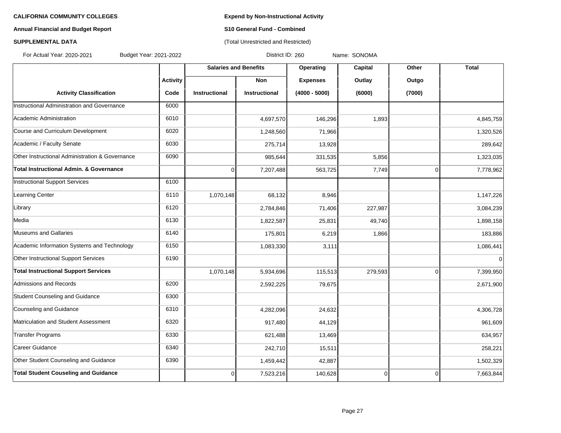# **Annual Financial and Budget Report S10 General Fund - Combined**

# **SUPPLEMENTAL DATA CONSERVATION CONSERVATION** (Total Unrestricted and Restricted)

For Actual Year: 2020-2021 Budget Year: 2021-2022 District ID: 260 Name: SONOMA

|                                                    |                 | <b>Salaries and Benefits</b> |                      | Operating       | Capital  | Other          | <b>Total</b> |
|----------------------------------------------------|-----------------|------------------------------|----------------------|-----------------|----------|----------------|--------------|
|                                                    | <b>Activity</b> |                              | <b>Non</b>           | <b>Expenses</b> | Outlay   | Outgo          |              |
| <b>Activity Classification</b>                     | Code            | <b>Instructional</b>         | <b>Instructional</b> | $(4000 - 5000)$ | (6000)   | (7000)         |              |
| Instructional Administration and Governance        | 6000            |                              |                      |                 |          |                |              |
| Academic Administration                            | 6010            |                              | 4,697,570            | 146,296         | 1,893    |                | 4,845,759    |
| Course and Curriculum Development                  | 6020            |                              | 1,248,560            | 71,966          |          |                | 1,320,526    |
| Academic / Faculty Senate                          | 6030            |                              | 275,714              | 13,928          |          |                | 289,642      |
| Other Instructional Administration & Governance    | 6090            |                              | 985,644              | 331,535         | 5,856    |                | 1,323,035    |
| <b>Total Instructional Admin, &amp; Governance</b> |                 | 0                            | 7,207,488            | 563,725         | 7,749    | $\overline{0}$ | 7,778,962    |
| <b>Instructional Support Services</b>              | 6100            |                              |                      |                 |          |                |              |
| Learning Center                                    | 6110            | 1,070,148                    | 68,132               | 8,946           |          |                | 1,147,226    |
| Library                                            | 6120            |                              | 2,784,846            | 71,406          | 227,987  |                | 3,084,239    |
| Media                                              | 6130            |                              | 1,822,587            | 25,831          | 49,740   |                | 1,898,158    |
| <b>Museums and Gallaries</b>                       | 6140            |                              | 175,801              | 6,219           | 1,866    |                | 183,886      |
| Academic Information Systems and Technology        | 6150            |                              | 1,083,330            | 3,111           |          |                | 1,086,441    |
| Other Instructional Support Services               | 6190            |                              |                      |                 |          |                | $\pmb{0}$    |
| <b>Total Instructional Support Services</b>        |                 | 1,070,148                    | 5,934,696            | 115,513         | 279,593  | $\overline{0}$ | 7,399,950    |
| Admissions and Records                             | 6200            |                              | 2,592,225            | 79,675          |          |                | 2,671,900    |
| Student Counseling and Guidance                    | 6300            |                              |                      |                 |          |                |              |
| Counseling and Guidance                            | 6310            |                              | 4,282,096            | 24,632          |          |                | 4,306,728    |
| Matriculation and Student Assessment               | 6320            |                              | 917,480              | 44,129          |          |                | 961,609      |
| <b>Transfer Programs</b>                           | 6330            |                              | 621,488              | 13,469          |          |                | 634,957      |
| Career Guidance                                    | 6340            |                              | 242,710              | 15,511          |          |                | 258,221      |
| Other Student Counseling and Guidance              | 6390            |                              | 1,459,442            | 42,887          |          |                | 1,502,329    |
| <b>Total Student Couseling and Guidance</b>        |                 | 0                            | 7,523,216            | 140,628         | $\Omega$ | $\overline{0}$ | 7,663,844    |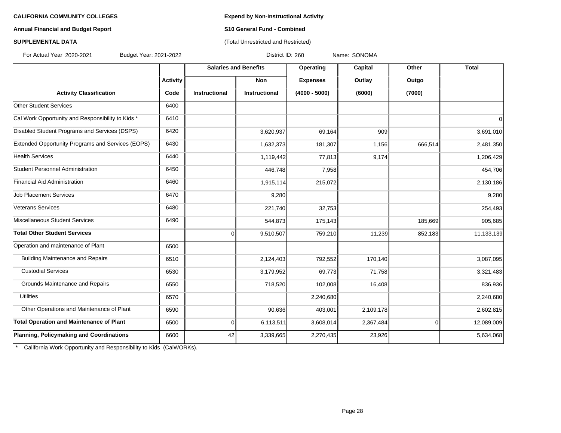# **Annual Financial and Budget Report S10 General Fund - Combined**

# **SUPPLEMENTAL DATA CONSERVATION CONSERVATION** (Total Unrestricted and Restricted)

For Actual Year: 2020-2021 Budget Year: 2021-2022 District ID: 260 Name: SONOMA

|                                                   |                 | <b>Salaries and Benefits</b> |                      | Operating       | <b>Capital</b> | Other          | <b>Total</b> |
|---------------------------------------------------|-----------------|------------------------------|----------------------|-----------------|----------------|----------------|--------------|
|                                                   | <b>Activity</b> |                              | <b>Non</b>           | <b>Expenses</b> | Outlay         | Outgo          |              |
| <b>Activity Classification</b>                    | Code            | <b>Instructional</b>         | <b>Instructional</b> | $(4000 - 5000)$ | (6000)         | (7000)         |              |
| <b>Other Student Services</b>                     | 6400            |                              |                      |                 |                |                |              |
| Cal Work Opportunity and Responsibility to Kids * | 6410            |                              |                      |                 |                |                | $\mathbf 0$  |
| Disabled Student Programs and Services (DSPS)     | 6420            |                              | 3,620,937            | 69,164          | 909            |                | 3,691,010    |
| Extended Opportunity Programs and Services (EOPS) | 6430            |                              | 1,632,373            | 181,307         | 1,156          | 666,514        | 2,481,350    |
| <b>Health Services</b>                            | 6440            |                              | 1,119,442            | 77,813          | 9,174          |                | 1,206,429    |
| Student Personnel Administration                  | 6450            |                              | 446,748              | 7,958           |                |                | 454,706      |
| Financial Aid Administration                      | 6460            |                              | 1,915,114            | 215,072         |                |                | 2,130,186    |
| <b>Job Placement Services</b>                     | 6470            |                              | 9,280                |                 |                |                | 9,280        |
| Veterans Services                                 | 6480            |                              | 221,740              | 32,753          |                |                | 254,493      |
| Miscellaneous Student Services                    | 6490            |                              | 544,873              | 175,143         |                | 185,669        | 905,685      |
| Total Other Student Services                      |                 | 0                            | 9,510,507            | 759,210         | 11,239         | 852,183        | 11,133,139   |
| Operation and maintenance of Plant                | 6500            |                              |                      |                 |                |                |              |
| <b>Building Maintenance and Repairs</b>           | 6510            |                              | 2,124,403            | 792,552         | 170,140        |                | 3,087,095    |
| <b>Custodial Services</b>                         | 6530            |                              | 3,179,952            | 69,773          | 71,758         |                | 3,321,483    |
| Grounds Maintenance and Repairs                   | 6550            |                              | 718,520              | 102,008         | 16,408         |                | 836,936      |
| <b>Utilities</b>                                  | 6570            |                              |                      | 2,240,680       |                |                | 2,240,680    |
| Other Operations and Maintenance of Plant         | 6590            |                              | 90,636               | 403,001         | 2,109,178      |                | 2,602,815    |
| Total Operation and Maintenance of Plant          | 6500            | 0                            | 6,113,511            | 3,608,014       | 2,367,484      | $\overline{0}$ | 12,089,009   |
| Planning, Policymaking and Coordinations          | 6600            | 42                           | 3,339,665            | 2,270,435       | 23,926         |                | 5,634,068    |

\* California Work Opportunity and Responsibility to Kids (CalWORKs).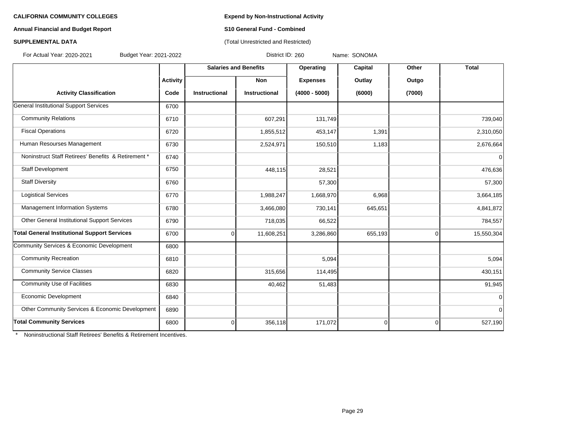### **Annual Financial and Budget Report S10 General Fund - Combined**

# **SUPPLEMENTAL DATA CONSERVATION CONSERVATION** (Total Unrestricted and Restricted)

For Actual Year: 2020-2021 Budget Year: 2021-2022 District ID: 260 Name: SONOMA

|                                                     |                 | <b>Salaries and Benefits</b> |                      | Operating       | Capital     | Other          | <b>Total</b> |
|-----------------------------------------------------|-----------------|------------------------------|----------------------|-----------------|-------------|----------------|--------------|
|                                                     | <b>Activity</b> |                              | <b>Non</b>           | <b>Expenses</b> | Outlay      | Outgo          |              |
| <b>Activity Classification</b>                      | Code            | <b>Instructional</b>         | <b>Instructional</b> | $(4000 - 5000)$ | (6000)      | (7000)         |              |
| General Institutional Support Services              | 6700            |                              |                      |                 |             |                |              |
| <b>Community Relations</b>                          | 6710            |                              | 607,291              | 131,749         |             |                | 739,040      |
| <b>Fiscal Operations</b>                            | 6720            |                              | 1,855,512            | 453,147         | 1,391       |                | 2,310,050    |
| Human Resourses Management                          | 6730            |                              | 2,524,971            | 150,510         | 1,183       |                | 2,676,664    |
| Noninstruct Staff Retirees' Benefits & Retirement * | 6740            |                              |                      |                 |             |                | $\mathbf 0$  |
| Staff Development                                   | 6750            |                              | 448,115              | 28,521          |             |                | 476,636      |
| <b>Staff Diversity</b>                              | 6760            |                              |                      | 57,300          |             |                | 57,300       |
| <b>Logistical Services</b>                          | 6770            |                              | 1,988,247            | 1,668,970       | 6,968       |                | 3,664,185    |
| Management Information Systems                      | 6780            |                              | 3,466,080            | 730,141         | 645,651     |                | 4,841,872    |
| Other General Institutional Support Services        | 6790            |                              | 718,035              | 66,522          |             |                | 784,557      |
| <b>Total General Institutional Support Services</b> | 6700            | $\overline{0}$               | 11,608,251           | 3,286,860       | 655,193     | $\overline{0}$ | 15,550,304   |
| Community Services & Economic Development           | 6800            |                              |                      |                 |             |                |              |
| <b>Community Recreation</b>                         | 6810            |                              |                      | 5,094           |             |                | 5,094        |
| <b>Community Service Classes</b>                    | 6820            |                              | 315,656              | 114,495         |             |                | 430,151      |
| <b>Community Use of Facilities</b>                  | 6830            |                              | 40,462               | 51,483          |             |                | 91,945       |
| Economic Development                                | 6840            |                              |                      |                 |             |                | $\Omega$     |
| Other Community Services & Economic Development     | 6890            |                              |                      |                 |             |                | $\Omega$     |
| <b>Total Community Services</b>                     | 6800            | $\overline{0}$               | 356,118              | 171,072         | $\mathbf 0$ | $\mathbf 0$    | 527,190      |

\* Noninstructional Staff Retirees' Benefits & Retirement Incentives.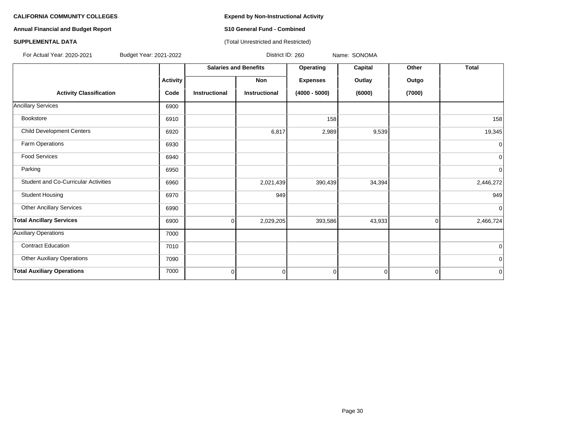# **Annual Financial and Budget Report S10 General Fund - Combined**

### **SUPPLEMENTAL DATA CONSERVATION CONSERVATION** (Total Unrestricted and Restricted)

For Actual Year: 2020-2021 Budget Year: 2021-2022 District ID: 260 Name: SONOMA

|                                      |                 | <b>Salaries and Benefits</b> |                      | Operating       | Capital        | Other       | <b>Total</b>   |
|--------------------------------------|-----------------|------------------------------|----------------------|-----------------|----------------|-------------|----------------|
|                                      | <b>Activity</b> |                              | Non                  | <b>Expenses</b> | Outlay         | Outgo       |                |
| <b>Activity Classification</b>       | Code            | <b>Instructional</b>         | <b>Instructional</b> | $(4000 - 5000)$ | (6000)         | (7000)      |                |
| <b>Ancillary Services</b>            | 6900            |                              |                      |                 |                |             |                |
| Bookstore                            | 6910            |                              |                      | 158             |                |             | 158            |
| <b>Child Development Centers</b>     | 6920            |                              | 6,817                | 2,989           | 9,539          |             | 19,345         |
| Farm Operations                      | 6930            |                              |                      |                 |                |             | $\mathbf 0$    |
| <b>Food Services</b>                 | 6940            |                              |                      |                 |                |             | $\overline{0}$ |
| Parking                              | 6950            |                              |                      |                 |                |             | $\overline{0}$ |
| Student and Co-Curricular Activities | 6960            |                              | 2,021,439            | 390,439         | 34,394         |             | 2,446,272      |
| <b>Student Housing</b>               | 6970            |                              | 949                  |                 |                |             | 949            |
| <b>Other Ancillary Services</b>      | 6990            |                              |                      |                 |                |             | $\mathbf 0$    |
| <b>Total Ancillary Services</b>      | 6900            | 0                            | 2,029,205            | 393,586         | 43,933         | 0           | 2,466,724      |
| <b>Auxiliary Operations</b>          | 7000            |                              |                      |                 |                |             |                |
| <b>Contract Education</b>            | 7010            |                              |                      |                 |                |             | $\overline{0}$ |
| <b>Other Auxiliary Operations</b>    | 7090            |                              |                      |                 |                |             | $\overline{0}$ |
| <b>Total Auxiliary Operations</b>    | 7000            | $\overline{0}$               | $\mathbf 0$          | $\Omega$        | $\overline{0}$ | $\mathbf 0$ | $\mathbf 0$    |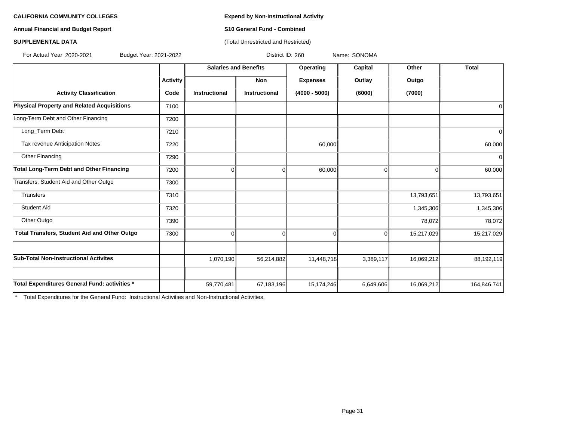**Annual Financial and Budget Report S10 General Fund - Combined**

# **SUPPLEMENTAL DATA** (Total Unrestricted and Restricted)

For Actual Year: 2020-2021 Budget Year: 2021-2022 District ID: 260 Name: SONOMA

|                                                     |                 | <b>Salaries and Benefits</b> |                      | Operating       | Capital     | Other      | <b>Total</b> |
|-----------------------------------------------------|-----------------|------------------------------|----------------------|-----------------|-------------|------------|--------------|
|                                                     | <b>Activity</b> |                              | Non                  | <b>Expenses</b> | Outlay      | Outgo      |              |
| <b>Activity Classification</b>                      | Code            | <b>Instructional</b>         | <b>Instructional</b> | $(4000 - 5000)$ | (6000)      | (7000)     |              |
| <b>Physical Property and Related Acquisitions</b>   | 7100            |                              |                      |                 |             |            |              |
| Long-Term Debt and Other Financing                  | 7200            |                              |                      |                 |             |            |              |
| Long_Term Debt                                      | 7210            |                              |                      |                 |             |            |              |
| Tax revenue Anticipation Notes                      | 7220            |                              |                      | 60,000          |             |            | 60,000       |
| Other Financing                                     | 7290            |                              |                      |                 |             |            | $\Omega$     |
| Total Long-Term Debt and Other Financing            | 7200            | 0                            | $\Omega$             | 60,000          | $\Omega$    | 0          | 60,000       |
| Transfers, Student Aid and Other Outgo              | 7300            |                              |                      |                 |             |            |              |
| <b>Transfers</b>                                    | 7310            |                              |                      |                 |             | 13,793,651 | 13,793,651   |
| <b>Student Aid</b>                                  | 7320            |                              |                      |                 |             | 1,345,306  | 1,345,306    |
| Other Outgo                                         | 7390            |                              |                      |                 |             | 78,072     | 78,072       |
| <b>Total Transfers, Student Aid and Other Outgo</b> | 7300            | 0                            | 0                    | $\Omega$        | $\mathbf 0$ | 15,217,029 | 15,217,029   |
| <b>Sub-Total Non-Instructional Activites</b>        |                 | 1,070,190                    | 56,214,882           | 11,448,718      | 3,389,117   | 16,069,212 | 88,192,119   |
|                                                     |                 |                              |                      |                 |             |            |              |
| Total Expenditures General Fund: activities *       |                 | 59,770,481                   | 67,183,196           | 15,174,246      | 6,649,606   | 16,069,212 | 164,846,741  |

\* Total Expenditures for the General Fund: Instructional Activities and Non-Instructional Activities.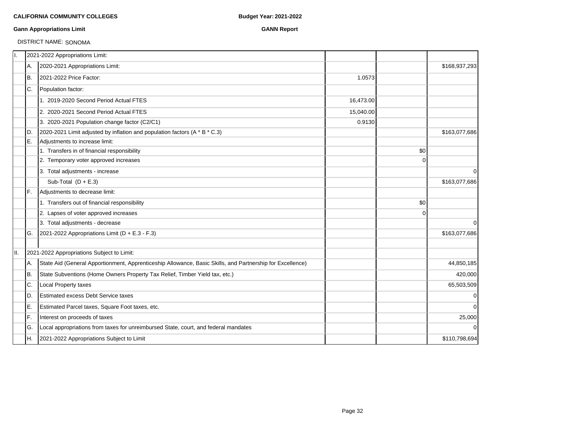### **Gann Appropriations Limit GANN Report**

# DISTRICT NAME: SONOMA

| II. |     | 2021-2022 Appropriations Limit:                                                                           |           |          |               |
|-----|-----|-----------------------------------------------------------------------------------------------------------|-----------|----------|---------------|
|     | А.  | 2020-2021 Appropriations Limit:                                                                           |           |          | \$168,937,293 |
|     | Iв. | 2021-2022 Price Factor:                                                                                   | 1.0573    |          |               |
|     | IC. | Population factor:                                                                                        |           |          |               |
|     |     | 1. 2019-2020 Second Period Actual FTES                                                                    | 16,473.00 |          |               |
|     |     | 2. 2020-2021 Second Period Actual FTES                                                                    | 15,040.00 |          |               |
|     |     | 3. 2020-2021 Population change factor (C2/C1)                                                             | 0.9130    |          |               |
|     | ID. | 2020-2021 Limit adjusted by inflation and population factors (A * B * C.3)                                |           |          | \$163,077,686 |
|     | E.  | Adjustments to increase limit:                                                                            |           |          |               |
|     |     | 1. Transfers in of financial responsibility                                                               |           | \$0      |               |
|     |     | 2. Temporary voter approved increases                                                                     |           | $\Omega$ |               |
|     |     | 3. Total adjustments - increase                                                                           |           |          | $\mathbf 0$   |
|     |     | Sub-Total $(D + E.3)$                                                                                     |           |          | \$163,077,686 |
|     | IF. | Adjustments to decrease limit:                                                                            |           |          |               |
|     |     | 1. Transfers out of financial responsibility                                                              |           | \$0      |               |
|     |     | 2. Lapses of voter approved increases                                                                     |           | 0        |               |
|     |     | 3. Total adjustments - decrease                                                                           |           |          | $\Omega$      |
|     | IG. | 2021-2022 Appropriations Limit ( $D + E.3 - F.3$ )                                                        |           |          | \$163,077,686 |
|     |     |                                                                                                           |           |          |               |
| II. |     | 2021-2022 Appropriations Subject to Limit:                                                                |           |          |               |
|     | А.  | State Aid (General Apportionment, Apprenticeship Allowance, Basic Skills, and Partnership for Excellence) |           |          | 44,850,185    |
|     | B.  | State Subventions (Home Owners Property Tax Relief, Timber Yield tax, etc.)                               |           |          | 420,000       |
|     | C.  | Local Property taxes                                                                                      |           |          | 65,503,509    |
|     | ID. | <b>Estimated excess Debt Service taxes</b>                                                                |           |          | $\mathbf 0$   |
|     | ΙE. | Estimated Parcel taxes, Square Foot taxes, etc.                                                           |           |          | $\Omega$      |
|     | lF. | Interest on proceeds of taxes                                                                             |           |          | 25,000        |
|     | lG. | Local appropriations from taxes for unreimbursed State, court, and federal mandates                       |           |          | $\Omega$      |
|     | IH. | 2021-2022 Appropriations Subject to Limit                                                                 |           |          | \$110,798,694 |
|     |     |                                                                                                           |           |          |               |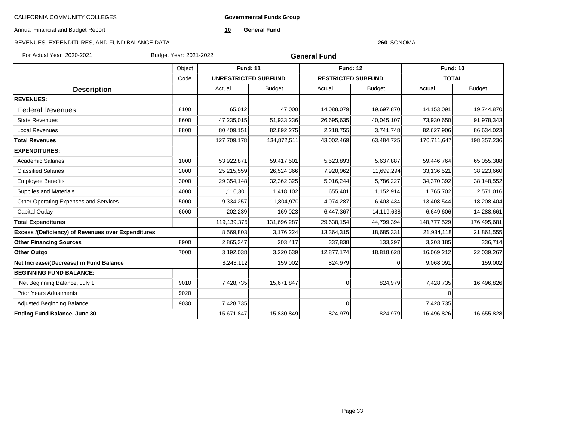**Governmental Funds Group**

Annual Financial and Budget Report

**10 General Fund**

### **260** SONOMA

| For Actual Year: 2020-2021                                | Budget Year: 2021-2022 |                             |               | <b>General Fund</b>       |               |                 |               |
|-----------------------------------------------------------|------------------------|-----------------------------|---------------|---------------------------|---------------|-----------------|---------------|
|                                                           | Object                 | <b>Fund: 11</b>             |               | <b>Fund: 12</b>           |               | <b>Fund: 10</b> |               |
|                                                           | Code                   | <b>UNRESTRICTED SUBFUND</b> |               | <b>RESTRICTED SUBFUND</b> |               | <b>TOTAL</b>    |               |
| <b>Description</b>                                        |                        | Actual                      | <b>Budget</b> | Actual                    | <b>Budget</b> | Actual          | <b>Budget</b> |
| <b>REVENUES:</b>                                          |                        |                             |               |                           |               |                 |               |
| <b>Federal Revenues</b>                                   | 8100                   | 65,012                      | 47,000        | 14,088,079                | 19,697,870    | 14,153,091      | 19,744,870    |
| <b>State Revenues</b>                                     | 8600                   | 47,235,015                  | 51,933,236    | 26,695,635                | 40,045,107    | 73,930,650      | 91,978,343    |
| <b>Local Revenues</b>                                     | 8800                   | 80,409,151                  | 82,892,275    | 2,218,755                 | 3,741,748     | 82,627,906      | 86,634,023    |
| <b>Total Revenues</b>                                     |                        | 127,709,178                 | 134,872,511   | 43,002,469                | 63,484,725    | 170,711,647     | 198, 357, 236 |
| <b>EXPENDITURES:</b>                                      |                        |                             |               |                           |               |                 |               |
| <b>Academic Salaries</b>                                  | 1000                   | 53,922,871                  | 59,417,501    | 5,523,893                 | 5,637,887     | 59,446,764      | 65,055,388    |
| <b>Classified Salaries</b>                                | 2000                   | 25,215,559                  | 26,524,366    | 7,920,962                 | 11,699,294    | 33,136,521      | 38,223,660    |
| <b>Employee Benefits</b>                                  | 3000                   | 29,354,148                  | 32,362,325    | 5,016,244                 | 5,786,227     | 34,370,392      | 38,148,552    |
| <b>Supplies and Materials</b>                             | 4000                   | 1,110,301                   | 1,418,102     | 655,401                   | 1,152,914     | 1,765,702       | 2,571,016     |
| Other Operating Expenses and Services                     | 5000                   | 9,334,257                   | 11,804,970    | 4,074,287                 | 6,403,434     | 13,408,544      | 18,208,404    |
| Capital Outlay                                            | 6000                   | 202,239                     | 169,023       | 6,447,367                 | 14,119,638    | 6,649,606       | 14,288,661    |
| <b>Total Expenditures</b>                                 |                        | 119,139,375                 | 131,696,287   | 29,638,154                | 44,799,394    | 148,777,529     | 176,495,681   |
| <b>Excess /(Deficiency) of Revenues over Expenditures</b> |                        | 8,569,803                   | 3,176,224     | 13,364,315                | 18,685,331    | 21,934,118      | 21,861,555    |
| <b>Other Financing Sources</b>                            | 8900                   | 2,865,347                   | 203,417       | 337,838                   | 133,297       | 3,203,185       | 336,714       |
| <b>Other Outgo</b>                                        | 7000                   | 3,192,038                   | 3,220,639     | 12,877,174                | 18,818,628    | 16,069,212      | 22,039,267    |
| Net Increase/(Decrease) in Fund Balance                   |                        | 8,243,112                   | 159,002       | 824,979                   |               | 9,068,091       | 159,002       |
| <b>BEGINNING FUND BALANCE:</b>                            |                        |                             |               |                           |               |                 |               |
| Net Beginning Balance, July 1                             | 9010                   | 7,428,735                   | 15,671,847    |                           | 824,979       | 7,428,735       | 16,496,826    |
| <b>Prior Years Adustments</b>                             | 9020                   |                             |               |                           |               | 0               |               |
| <b>Adjusted Beginning Balance</b>                         | 9030                   | 7,428,735                   |               | ∩                         |               | 7,428,735       |               |
| <b>Ending Fund Balance, June 30</b>                       |                        | 15,671,847                  | 15,830,849    | 824,979                   | 824,979       | 16,496,826      | 16,655,828    |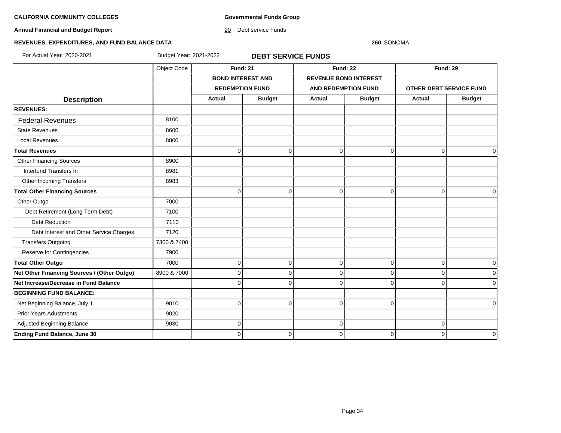**Governmental Funds Group**

**Annual Financial and Budget Report**

20 Debt service Funds

### **260** SONOMA

# **REVENUES, EXPENDITURES, AND FUND BALANCE DATA**

For Actual Year: 2020-2021 Budget Year: 2021-2022 **DEBT SERVICE FUNDS**

|                                             | Object Code | <b>Fund: 21</b>        |                          | <b>Fund: 22</b>              |                | <b>Fund: 29</b>                |               |
|---------------------------------------------|-------------|------------------------|--------------------------|------------------------------|----------------|--------------------------------|---------------|
|                                             |             |                        | <b>BOND INTEREST AND</b> | <b>REVENUE BOND INTEREST</b> |                |                                |               |
|                                             |             | <b>REDEMPTION FUND</b> |                          | <b>AND REDEMPTION FUND</b>   |                | <b>OTHER DEBT SERVICE FUND</b> |               |
| <b>Description</b>                          |             | <b>Actual</b>          | <b>Budget</b>            | <b>Actual</b>                | <b>Budget</b>  | <b>Actual</b>                  | <b>Budget</b> |
| <b>REVENUES:</b>                            |             |                        |                          |                              |                |                                |               |
| <b>Federal Revenues</b>                     | 8100        |                        |                          |                              |                |                                |               |
| <b>State Revenues</b>                       | 8600        |                        |                          |                              |                |                                |               |
| <b>Local Revenues</b>                       | 8800        |                        |                          |                              |                |                                |               |
| <b>Total Revenues</b>                       |             | $\Omega$               | $\overline{0}$           | 0                            | $\overline{0}$ | $\mathbf 0$                    | 0             |
| <b>Other Financing Sources</b>              | 8900        |                        |                          |                              |                |                                |               |
| Interfund Transfers In                      | 8981        |                        |                          |                              |                |                                |               |
| Other Incoming Transfers                    | 8983        |                        |                          |                              |                |                                |               |
| <b>Total Other Financing Sources</b>        |             | $\Omega$               | $\Omega$                 | $\Omega$                     | $\Omega$       | $\Omega$                       | 0             |
| Other Outgo                                 | 7000        |                        |                          |                              |                |                                |               |
| Debt Retirement (Long Term Debt)            | 7100        |                        |                          |                              |                |                                |               |
| <b>Debt Reduction</b>                       | 7110        |                        |                          |                              |                |                                |               |
| Debt Interest and Other Service Charges     | 7120        |                        |                          |                              |                |                                |               |
| <b>Transfers Outgoing</b>                   | 7300 & 7400 |                        |                          |                              |                |                                |               |
| Reserve for Contingencies                   | 7900        |                        |                          |                              |                |                                |               |
| <b>Total Other Outgo</b>                    | 7000        | $\Omega$               | $\mathbf 0$              | 0                            | $\overline{0}$ | $\mathbf 0$                    | 0             |
| Net Other Financing Sources / (Other Outgo) | 8900 & 7000 | $\Omega$               | $\Omega$                 | $\Omega$                     | $\Omega$       | $\Omega$                       | 0             |
| Net Increase/Decrease in Fund Balance       |             |                        | $\Omega$                 | 0                            | $\Omega$       | $\Omega$                       | 0             |
| <b>BEGINNING FUND BALANCE:</b>              |             |                        |                          |                              |                |                                |               |
| Net Beginning Balance, July 1               | 9010        | $\Omega$               | $\mathbf 0$              | 0                            | $\overline{0}$ |                                | 0             |
| <b>Prior Years Adustments</b>               | 9020        |                        |                          |                              |                |                                |               |
| Adjusted Beginning Balance                  | 9030        | $\Omega$               |                          | 0                            |                | $\mathbf 0$                    |               |
| <b>Ending Fund Balance, June 30</b>         |             | $\Omega$               | $\Omega$                 | $\Omega$                     | $\Omega$       | $\Omega$                       | 0             |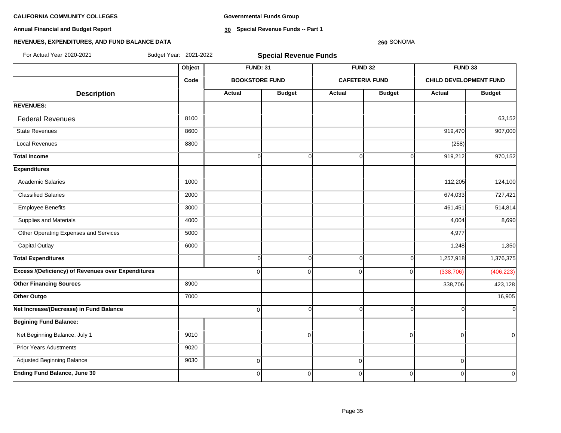**Annual Financial and Budget Report**

**Governmental Funds Group**

**30 Special Revenue Funds -- Part 1**

### **260** SONOMA

| For Actual Year: 2020-2021                                | Budget Year: 2021-2022 | <b>Special Revenue Funds</b> |                       |                |                       |                               |                |  |  |  |
|-----------------------------------------------------------|------------------------|------------------------------|-----------------------|----------------|-----------------------|-------------------------------|----------------|--|--|--|
|                                                           | Object                 | <b>FUND: 31</b>              |                       |                | <b>FUND 32</b>        |                               | FUND 33        |  |  |  |
|                                                           | Code                   |                              | <b>BOOKSTORE FUND</b> |                | <b>CAFETERIA FUND</b> | <b>CHILD DEVELOPMENT FUND</b> |                |  |  |  |
| <b>Description</b>                                        |                        | <b>Actual</b>                | <b>Budget</b>         | Actual         | <b>Budget</b>         | <b>Actual</b>                 | <b>Budget</b>  |  |  |  |
| <b>REVENUES:</b>                                          |                        |                              |                       |                |                       |                               |                |  |  |  |
| <b>Federal Revenues</b>                                   | 8100                   |                              |                       |                |                       |                               | 63,152         |  |  |  |
| <b>State Revenues</b>                                     | 8600                   |                              |                       |                |                       | 919,470                       | 907,000        |  |  |  |
| <b>Local Revenues</b>                                     | 8800                   |                              |                       |                |                       | (258)                         |                |  |  |  |
| Total Income                                              |                        | $\overline{0}$               | $\overline{0}$        | $\Omega$       | $\Omega$              | 919,212                       | 970,152        |  |  |  |
| <b>Expenditures</b>                                       |                        |                              |                       |                |                       |                               |                |  |  |  |
| <b>Academic Salaries</b>                                  | 1000                   |                              |                       |                |                       | 112,205                       | 124,100        |  |  |  |
| <b>Classified Salaries</b>                                | 2000                   |                              |                       |                |                       | 674,033                       | 727,421        |  |  |  |
| <b>Employee Benefits</b>                                  | 3000                   |                              |                       |                |                       | 461,451                       | 514,814        |  |  |  |
| Supplies and Materials                                    | 4000                   |                              |                       |                |                       | 4,004                         | 8,690          |  |  |  |
| Other Operating Expenses and Services                     | 5000                   |                              |                       |                |                       | 4,977                         |                |  |  |  |
| <b>Capital Outlay</b>                                     | 6000                   |                              |                       |                |                       | 1,248                         | 1,350          |  |  |  |
| <b>Total Expenditures</b>                                 |                        | $\Omega$                     | $\mathbf 0$           | O              | $\Omega$              | 1,257,918                     | 1,376,375      |  |  |  |
| <b>Excess /(Deficiency) of Revenues over Expenditures</b> |                        | $\Omega$                     | $\mathbf 0$           | $\Omega$       | $\Omega$              | (338, 706)                    | (406, 223)     |  |  |  |
| <b>Other Financing Sources</b>                            | 8900                   |                              |                       |                |                       | 338,706                       | 423,128        |  |  |  |
| Other Outgo                                               | 7000                   |                              |                       |                |                       |                               | 16,905         |  |  |  |
| Net Increase/(Decrease) in Fund Balance                   |                        | $\overline{0}$               | $\mathbf 0$           | $\Omega$       | $\Omega$              |                               | $\overline{0}$ |  |  |  |
| <b>Begining Fund Balance:</b>                             |                        |                              |                       |                |                       |                               |                |  |  |  |
| Net Beginning Balance, July 1                             | 9010                   |                              | $\mathbf 0$           |                | $\Omega$              | 0                             | $\overline{0}$ |  |  |  |
| <b>Prior Years Adustments</b>                             | 9020                   |                              |                       |                |                       |                               |                |  |  |  |
| Adjusted Beginning Balance                                | 9030                   | $\overline{0}$               |                       | $\overline{0}$ |                       | $\Omega$                      |                |  |  |  |
| <b>Ending Fund Balance, June 30</b>                       |                        | $\overline{0}$               | $\pmb{0}$             | $\mathbf 0$    | $\mathbf 0$           | $\Omega$                      | $\overline{0}$ |  |  |  |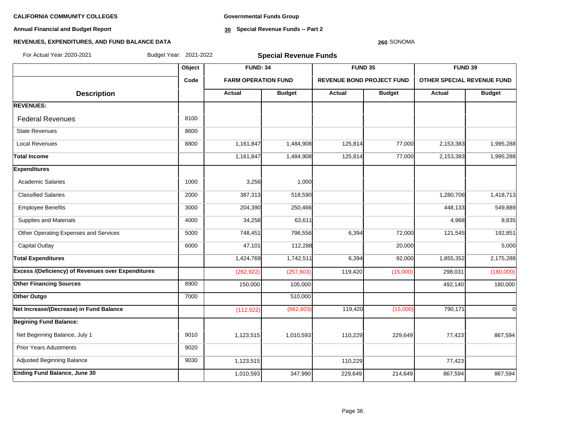**Annual Financial and Budget Report**

**Governmental Funds Group**

**30 Special Revenue Funds -- Part 2**

### **260** SONOMA

| For Actual Year 2020-2021                          | Budget Year: 2021-2022 |                            | <b>Special Revenue Funds</b> |                                  |               |                            |               |  |  |
|----------------------------------------------------|------------------------|----------------------------|------------------------------|----------------------------------|---------------|----------------------------|---------------|--|--|
|                                                    | Object                 | <b>FUND: 34</b>            |                              | FUND 35                          |               | FUND 39                    |               |  |  |
|                                                    | Code                   | <b>FARM OPERATION FUND</b> |                              | <b>REVENUE BOND PROJECT FUND</b> |               | OTHER SPECIAL REVENUE FUND |               |  |  |
| <b>Description</b>                                 |                        | <b>Actual</b>              | <b>Budget</b>                | Actual                           | <b>Budget</b> | Actual                     | <b>Budget</b> |  |  |
| <b>REVENUES:</b>                                   |                        |                            |                              |                                  |               |                            |               |  |  |
| <b>Federal Revenues</b>                            | 8100                   |                            |                              |                                  |               |                            |               |  |  |
| <b>State Revenues</b>                              | 8600                   |                            |                              |                                  |               |                            |               |  |  |
| <b>Local Revenues</b>                              | 8800                   | 1,161,847                  | 1,484,908                    | 125,814                          | 77,000        | 2,153,383                  | 1,995,288     |  |  |
| <b>Total Income</b>                                |                        | 1,161,847                  | 1,484,908                    | 125,814                          | 77,000        | 2,153,383                  | 1,995,288     |  |  |
| <b>Expenditures</b>                                |                        |                            |                              |                                  |               |                            |               |  |  |
| <b>Academic Salaries</b>                           | 1000                   | 3,256                      | 1,000                        |                                  |               |                            |               |  |  |
| <b>Classified Salaries</b>                         | 2000                   | 387,313                    | 518,590                      |                                  |               | 1,280,706                  | 1,418,713     |  |  |
| <b>Employee Benefits</b>                           | 3000                   | 204,390                    | 250,466                      |                                  |               | 448,133                    | 549,889       |  |  |
| Supplies and Materials                             | 4000                   | 34,258                     | 63,611                       |                                  |               | 4,968                      | 8,835         |  |  |
| Other Operating Expenses and Services              | 5000                   | 748,451                    | 796,556                      | 6,394                            | 72,000        | 121,545                    | 192,851       |  |  |
| <b>Capital Outlay</b>                              | 6000                   | 47,101                     | 112,288                      |                                  | 20,000        |                            | 5,000         |  |  |
| <b>Total Expenditures</b>                          |                        | 1,424,769                  | 1,742,511                    | 6,394                            | 92,000        | 1,855,352                  | 2,175,288     |  |  |
| Excess /(Deficiency) of Revenues over Expenditures |                        | (262, 922)                 | (257, 603)                   | 119,420                          | (15,000)      | 298,031                    | (180,000)     |  |  |
| <b>Other Financing Sources</b>                     | 8900                   | 150,000                    | 105,000                      |                                  |               | 492,140                    | 180,000       |  |  |
| Other Outgo                                        | 7000                   |                            | 510,000                      |                                  |               |                            |               |  |  |
| Net Increase/(Decrease) in Fund Balance            |                        | (112, 922)                 | (662, 603)                   | 119,420                          | (15,000)      | 790,171                    | $\Omega$      |  |  |
| <b>Begining Fund Balance:</b>                      |                        |                            |                              |                                  |               |                            |               |  |  |
| Net Beginning Balance, July 1                      | 9010                   | 1,123,515                  | 1,010,593                    | 110,229                          | 229,649       | 77,423                     | 867,594       |  |  |
| <b>Prior Years Adustments</b>                      | 9020                   |                            |                              |                                  |               |                            |               |  |  |
| Adjusted Beginning Balance                         | 9030                   | 1,123,515                  |                              | 110,229                          |               | 77,423                     |               |  |  |
| <b>Ending Fund Balance, June 30</b>                |                        | 1,010,593                  | 347,990                      | 229,649                          | 214,649       | 867,594                    | 867,594       |  |  |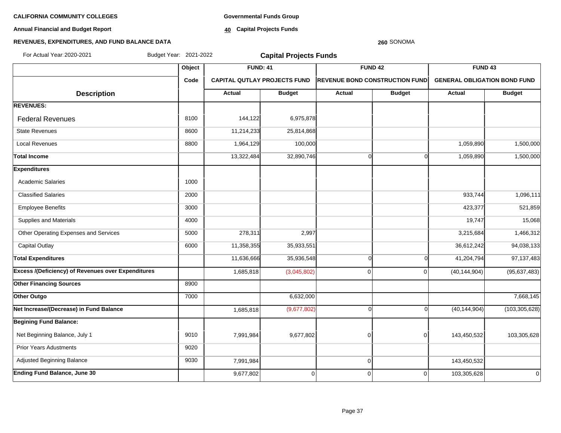**Annual Financial and Budget Report**

**Governmental Funds Group**

**40 Capital Projects Funds**

### **REVENUES, EXPENDITURES, AND FUND BALANCE DATA**

# **Object FUND: 41 FUND 42 FUND 43 Code CAPITAL QUTLAY PROJECTS FUND REVENUE BOND CONSTRUCTION FUND GENERAL OBLIGATION BOND FUND**  $\begin{array}{|c|c|c|c|c|c|}\n\hline\n\textbf{A} & \textbf{A} & \textbf{B} & \textbf{B} & \textbf{B} & \textbf{B} & \textbf{B} & \textbf{B} & \textbf{B} & \textbf{B} & \textbf{B} & \textbf{B} & \textbf{B} & \textbf{B} & \textbf{B} & \textbf{B} & \textbf{B} & \textbf{B} & \textbf{B} & \textbf{B} & \textbf{B} & \textbf{B} & \textbf{B} & \textbf{B} & \textbf{B} & \textbf{B} & \textbf{B} & \textbf{B} & \$ **REVENUES: Federal Revenues 6,975,878** 144,122 6,975,878 State Revenues 8600 11,214,233 25,814,868 Local Revenues 8800 1,964,129 100,000 1,059,890 1,500,000 **Total Income** 13,322,484 32,890,746 0 0 1,059,890 1,500,000 **Expenditures** Academic Salaries 1000 and 1000 Classified Salaries 2000 933,744 1,096,111 Employee Benefits 3000 3000 3000 200 423,377 521,859 Supplies and Materials **19,747** 15,068 Other Operating Expenses and Services **5000** 5000 278,311 2,997 2,997 3,215,684 3,215,684 3,215,684 1,466,312 Capital Outlay 6000 11,358,355 35,933,551 36,612,242 94,038,133 Total Expenditures 11,636,666 35,936,548| 97,137,483 **Excess /(Deficiency) of Revenues over Expenditures** 1,685,818 (3,045,802) 0 0 0 (40,144,904) (95,637,483) **Other Financing Sources** 8900 **Other Outgo 7,668,145** 7,668,145 **Net Increase/(Decrease) in Fund Balance** 1,685,818 (9,677,802) 1,685,818 (9,677,802) 0 0 (40,144,904) (103,305,628) **Begining Fund Balance:** Net Beginning Balance, July 1 9010 | 9010 | 7,991,984 9,677,802 | 0 | 0 143,450,532 | 103,305,628 Prior Years Adustments **19020** Adjusted Beginning Balance **1986 12, 12030 12030 12030 1204** 1205 1206 1207 1208 1208 1208 1320 1332 143,450,532 **Ending Fund Balance, June 30** 9 9,677,802 0 0 0 0 0 103,305,628 0 103,305,628 For Actual Year:2020-2021 Budget Year: 2021-2022 **Capital Projects Funds**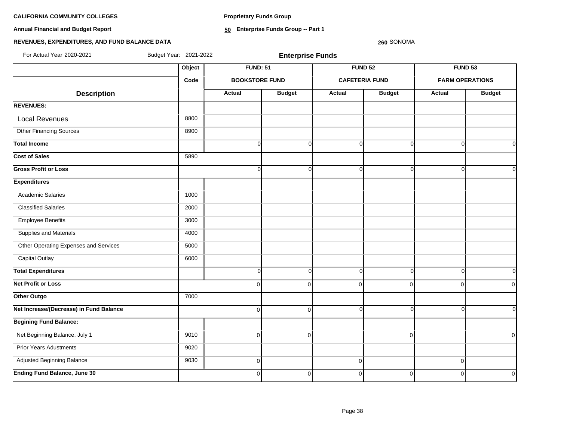**Proprietary Funds Group**

**Annual Financial and Budget Report**

**50 Enterprise Funds Group -- Part 1**

# **REVENUES, EXPENDITURES, AND FUND BALANCE DATA**

| For Actual Year: 2020-2021              | Budget Year: 2021-2022 |                       | <b>Enterprise Funds</b> |                       |               |                        |                |
|-----------------------------------------|------------------------|-----------------------|-------------------------|-----------------------|---------------|------------------------|----------------|
|                                         | Object                 | <b>FUND: 51</b>       |                         | <b>FUND 52</b>        |               | <b>FUND 53</b>         |                |
|                                         | Code                   | <b>BOOKSTORE FUND</b> |                         | <b>CAFETERIA FUND</b> |               | <b>FARM OPERATIONS</b> |                |
| <b>Description</b>                      |                        | <b>Actual</b>         | <b>Budget</b>           | <b>Actual</b>         | <b>Budget</b> | <b>Actual</b>          | <b>Budget</b>  |
| <b>REVENUES:</b>                        |                        |                       |                         |                       |               |                        |                |
| <b>Local Revenues</b>                   | 8800                   |                       |                         |                       |               |                        |                |
| <b>Other Financing Sources</b>          | 8900                   |                       |                         |                       |               |                        |                |
| <b>Total Income</b>                     |                        | $\Omega$              | $\Omega$                | $\Omega$              | $\Omega$      | C                      | $\Omega$       |
| <b>Cost of Sales</b>                    | 5890                   |                       |                         |                       |               |                        |                |
| <b>Gross Profit or Loss</b>             |                        | U                     | U                       | $\Omega$              | $\Omega$      |                        | $\Omega$       |
| <b>Expenditures</b>                     |                        |                       |                         |                       |               |                        |                |
| <b>Academic Salaries</b>                | 1000                   |                       |                         |                       |               |                        |                |
| <b>Classified Salaries</b>              | 2000                   |                       |                         |                       |               |                        |                |
| <b>Employee Benefits</b>                | 3000                   |                       |                         |                       |               |                        |                |
| Supplies and Materials                  | 4000                   |                       |                         |                       |               |                        |                |
| Other Operating Expenses and Services   | 5000                   |                       |                         |                       |               |                        |                |
| <b>Capital Outlay</b>                   | 6000                   |                       |                         |                       |               |                        |                |
| <b>Total Expenditures</b>               |                        | $\Omega$              | $\Omega$                | $\overline{0}$        | $\Omega$      | $\Omega$               | $\overline{0}$ |
| <b>Net Profit or Loss</b>               |                        | $\Omega$              | $\Omega$                | $\overline{0}$        | 0             | $\Omega$               | $\overline{0}$ |
| Other Outgo                             | 7000                   |                       |                         |                       |               |                        |                |
| Net Increase/(Decrease) in Fund Balance |                        | $\mathbf 0$           | $\Omega$                | $\overline{0}$        | $\Omega$      |                        | $\overline{0}$ |
| <b>Begining Fund Balance:</b>           |                        |                       |                         |                       |               |                        |                |
| Net Beginning Balance, July 1           | 9010                   | 0                     | $\Omega$                |                       | $\mathbf 0$   |                        | $\overline{0}$ |
| <b>Prior Years Adustments</b>           | 9020                   |                       |                         |                       |               |                        |                |
| Adjusted Beginning Balance              | 9030                   | 0                     |                         | 0                     |               | $\mathbf 0$            |                |
| <b>Ending Fund Balance, June 30</b>     |                        | $\Omega$              | $\mathbf{0}$            | $\overline{0}$        | $\Omega$      | $\Omega$               | $\overline{0}$ |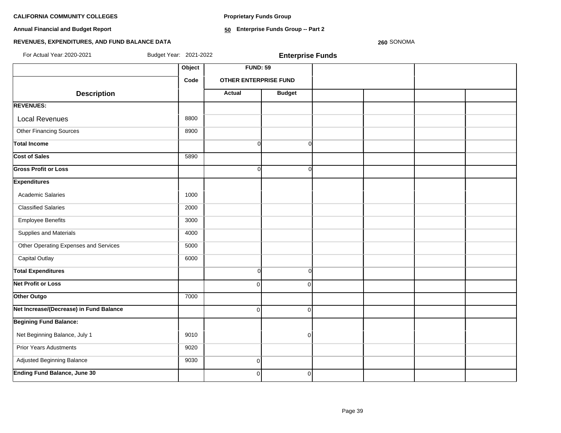**Proprietary Funds Group**

**Annual Financial and Budget Report**

**50 Enterprise Funds Group -- Part 2**

# **REVENUES, EXPENDITURES, AND FUND BALANCE DATA**

| For Actual Year: 2020-2021              | Budget Year: 2021-2022 |                              | <b>Enterprise Funds</b> |  |  |
|-----------------------------------------|------------------------|------------------------------|-------------------------|--|--|
|                                         | Object                 | <b>FUND: 59</b>              |                         |  |  |
|                                         | Code                   | <b>OTHER ENTERPRISE FUND</b> |                         |  |  |
| <b>Description</b>                      |                        | <b>Actual</b>                | <b>Budget</b>           |  |  |
| <b>REVENUES:</b>                        |                        |                              |                         |  |  |
| <b>Local Revenues</b>                   | 8800                   |                              |                         |  |  |
| Other Financing Sources                 | 8900                   |                              |                         |  |  |
| <b>Total Income</b>                     |                        | $\overline{0}$               | $\overline{0}$          |  |  |
| <b>Cost of Sales</b>                    | 5890                   |                              |                         |  |  |
| <b>Gross Profit or Loss</b>             |                        | Οl                           | ΩI                      |  |  |
| <b>Expenditures</b>                     |                        |                              |                         |  |  |
| Academic Salaries                       | 1000                   |                              |                         |  |  |
| <b>Classified Salaries</b>              | 2000                   |                              |                         |  |  |
| <b>Employee Benefits</b>                | 3000                   |                              |                         |  |  |
| Supplies and Materials                  | 4000                   |                              |                         |  |  |
| Other Operating Expenses and Services   | 5000                   |                              |                         |  |  |
| <b>Capital Outlay</b>                   | 6000                   |                              |                         |  |  |
| <b>Total Expenditures</b>               |                        | 0l                           | $\Omega$                |  |  |
| <b>Net Profit or Loss</b>               |                        | $\Omega$                     | $\Omega$                |  |  |
| Other Outgo                             | 7000                   |                              |                         |  |  |
| Net Increase/(Decrease) in Fund Balance |                        | $\Omega$                     | $\Omega$                |  |  |
| <b>Begining Fund Balance:</b>           |                        |                              |                         |  |  |
| Net Beginning Balance, July 1           | 9010                   |                              | $\overline{0}$          |  |  |
| <b>Prior Years Adustments</b>           | 9020                   |                              |                         |  |  |
| Adjusted Beginning Balance              | 9030                   | $\overline{0}$               |                         |  |  |
| <b>Ending Fund Balance, June 30</b>     |                        | $\overline{0}$               | $\overline{0}$          |  |  |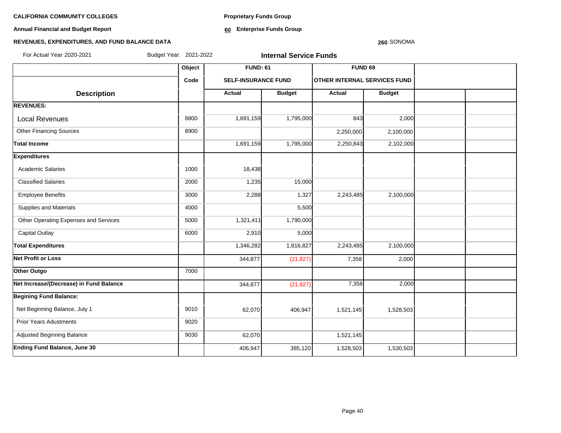**Annual Financial and Budget Report**

**Proprietary Funds Group**

**60 Enterprise Funds Group** 

# **REVENUES, EXPENDITURES, AND FUND BALANCE DATA**

| Budget Year: 2021-2022<br>For Actual Year: 2020-2021 |        |                            | <b>Internal Service Funds</b> |                                     |               |  |
|------------------------------------------------------|--------|----------------------------|-------------------------------|-------------------------------------|---------------|--|
|                                                      | Object | <b>FUND: 61</b>            |                               | <b>FUND 69</b>                      |               |  |
|                                                      | Code   | <b>SELF-INSURANCE FUND</b> |                               | <b>OTHER INTERNAL SERVICES FUND</b> |               |  |
| <b>Description</b>                                   |        | Actual                     | <b>Budget</b>                 | <b>Actual</b>                       | <b>Budget</b> |  |
| <b>REVENUES:</b>                                     |        |                            |                               |                                     |               |  |
| <b>Local Revenues</b>                                | 8800   | 1,691,159                  | 1,795,000                     | 843                                 | 2,000         |  |
| <b>Other Financing Sources</b>                       | 8900   |                            |                               | 2,250,000                           | 2,100,000     |  |
| <b>Total Income</b>                                  |        | 1,691,159                  | 1,795,000                     | 2,250,843                           | 2,102,000     |  |
| <b>Expenditures</b>                                  |        |                            |                               |                                     |               |  |
| <b>Academic Salaries</b>                             | 1000   | 18,438                     |                               |                                     |               |  |
| <b>Classified Salaries</b>                           | 2000   | 1,235                      | 15,000                        |                                     |               |  |
| <b>Employee Benefits</b>                             | 3000   | 2,288                      | 1,327                         | 2,243,485                           | 2,100,000     |  |
| Supplies and Materials                               | 4000   |                            | 5,500                         |                                     |               |  |
| Other Operating Expenses and Services                | 5000   | 1,321,411                  | 1,790,000                     |                                     |               |  |
| <b>Capital Outlay</b>                                | 6000   | 2,910                      | 5,000                         |                                     |               |  |
| <b>Total Expenditures</b>                            |        | 1,346,282                  | 1,816,827                     | 2,243,485                           | 2,100,000     |  |
| <b>Net Profit or Loss</b>                            |        | 344,877                    | (21, 827)                     | 7,358                               | 2,000         |  |
| Other Outgo                                          | 7000   |                            |                               |                                     |               |  |
| Net Increase/(Decrease) in Fund Balance              |        | 344,877                    | (21, 827)                     | 7,358                               | 2,000         |  |
| <b>Begining Fund Balance:</b>                        |        |                            |                               |                                     |               |  |
| Net Beginning Balance, July 1                        | 9010   | 62,070                     | 406,947                       | 1,521,145                           | 1,528,503     |  |
| <b>Prior Years Adustments</b>                        | 9020   |                            |                               |                                     |               |  |
| Adjusted Beginning Balance                           | 9030   | 62,070                     |                               | 1,521,145                           |               |  |
| <b>Ending Fund Balance, June 30</b>                  |        | 406,947                    | 385,120                       | 1,528,503                           | 1,530,503     |  |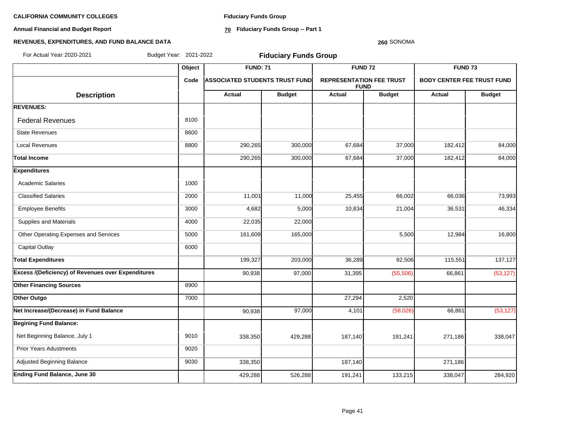**Annual Financial and Budget Report**

**Fiduciary Funds Group**

**70 Fiduciary Funds Group -- Part 1**

### **260** SONOMA

| For Actual Year: 2020-2021                                | Budget Year: 2021-2022 |                                        | <b>Fiduciary Funds Group</b> |                                                |               |                                   |               |
|-----------------------------------------------------------|------------------------|----------------------------------------|------------------------------|------------------------------------------------|---------------|-----------------------------------|---------------|
|                                                           | Object                 | <b>FUND: 71</b>                        |                              | <b>FUND 72</b>                                 |               | <b>FUND 73</b>                    |               |
|                                                           | Code                   | <b> ASSOCIATED STUDENTS TRUST FUND</b> |                              | <b>REPRESENTATION FEE TRUST</b><br><b>FUND</b> |               | <b>BODY CENTER FEE TRUST FUND</b> |               |
| <b>Description</b>                                        |                        | <b>Actual</b>                          | <b>Budget</b>                | <b>Actual</b>                                  | <b>Budget</b> | Actual                            | <b>Budget</b> |
| <b>REVENUES:</b>                                          |                        |                                        |                              |                                                |               |                                   |               |
| <b>Federal Revenues</b>                                   | 8100                   |                                        |                              |                                                |               |                                   |               |
| <b>State Revenues</b>                                     | 8600                   |                                        |                              |                                                |               |                                   |               |
| <b>Local Revenues</b>                                     | 8800                   | 290,265                                | 300,000                      | 67,684                                         | 37,000        | 182,412                           | 84,000        |
| <b>Total Income</b>                                       |                        | 290,265                                | 300,000                      | 67,684                                         | 37,000        | 182,412                           | 84,000        |
| <b>Expenditures</b>                                       |                        |                                        |                              |                                                |               |                                   |               |
| <b>Academic Salaries</b>                                  | 1000                   |                                        |                              |                                                |               |                                   |               |
| <b>Classified Salaries</b>                                | 2000                   | 11,001                                 | 11,000                       | 25,455                                         | 66,002        | 66,036                            | 73,993        |
| <b>Employee Benefits</b>                                  | 3000                   | 4,682                                  | 5,000                        | 10,834                                         | 21,004        | 36,531                            | 46,334        |
| Supplies and Materials                                    | 4000                   | 22,035                                 | 22,000                       |                                                |               |                                   |               |
| Other Operating Expenses and Services                     | 5000                   | 161,609                                | 165,000                      |                                                | 5,500         | 12,984                            | 16,800        |
| <b>Capital Outlay</b>                                     | 6000                   |                                        |                              |                                                |               |                                   |               |
| <b>Total Expenditures</b>                                 |                        | 199,327                                | 203,000                      | 36,289                                         | 92,506        | 115,551                           | 137,127       |
| <b>Excess /(Deficiency) of Revenues over Expenditures</b> |                        | 90,938                                 | 97,000                       | 31,395                                         | (55,506)      | 66,861                            | (53, 127)     |
| <b>Other Financing Sources</b>                            | 8900                   |                                        |                              |                                                |               |                                   |               |
| Other Outgo                                               | 7000                   |                                        |                              | 27,294                                         | 2,520         |                                   |               |
| Net Increase/(Decrease) in Fund Balance                   |                        | 90,938                                 | $\overline{97,000}$          | 4,101                                          | (58, 026)     | 66,861                            | (53, 127)     |
| <b>Begining Fund Balance:</b>                             |                        |                                        |                              |                                                |               |                                   |               |
| Net Beginning Balance, July 1                             | 9010                   | 338,350                                | 429,288                      | 187,140                                        | 191,241       | 271,186                           | 338,047       |
| <b>Prior Years Adustments</b>                             | 9020                   |                                        |                              |                                                |               |                                   |               |
| Adjusted Beginning Balance                                | 9030                   | 338,350                                |                              | 187,140                                        |               | 271,186                           |               |
| <b>Ending Fund Balance, June 30</b>                       |                        | 429,288                                | 526,288                      | 191,241                                        | 133,215       | 338,047                           | 284,920       |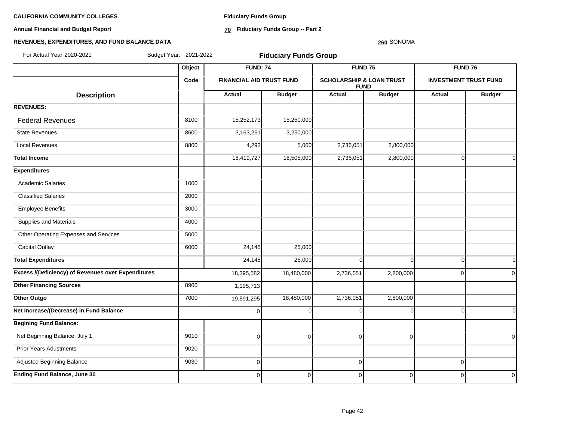**Annual Financial and Budget Report**

**Fiduciary Funds Group**

**70 Fiduciary Funds Group -- Part 2**

### **260** SONOMA

| For Actual Year: 2020-2021                                | Budget Year: 2021-2022 |                                 | <b>Fiduciary Funds Group</b> |             |                                                    |                |                              |
|-----------------------------------------------------------|------------------------|---------------------------------|------------------------------|-------------|----------------------------------------------------|----------------|------------------------------|
|                                                           | Object                 | <b>FUND: 74</b>                 |                              |             | FUND <sub>75</sub>                                 |                | FUND <sub>76</sub>           |
|                                                           | Code                   | <b>FINANCIAL AID TRUST FUND</b> |                              |             | <b>SCHOLARSHIP &amp; LOAN TRUST</b><br><b>FUND</b> |                | <b>INVESTMENT TRUST FUND</b> |
| <b>Description</b>                                        |                        | Actual                          | <b>Budget</b>                | Actual      | <b>Budget</b>                                      | Actual         | <b>Budget</b>                |
| <b>REVENUES:</b>                                          |                        |                                 |                              |             |                                                    |                |                              |
| <b>Federal Revenues</b>                                   | 8100                   | 15,252,173                      | 15,250,000                   |             |                                                    |                |                              |
| <b>State Revenues</b>                                     | 8600                   | 3,163,261                       | 3,250,000                    |             |                                                    |                |                              |
| <b>Local Revenues</b>                                     | 8800                   | 4,293                           | 5,000                        | 2,736,051   | 2,800,000                                          |                |                              |
| <b>Total Income</b>                                       |                        | 18,419,727                      | 18,505,000                   | 2,736,051   | 2,800,000                                          | $\Omega$       | $\Omega$                     |
| <b>Expenditures</b>                                       |                        |                                 |                              |             |                                                    |                |                              |
| <b>Academic Salaries</b>                                  | 1000                   |                                 |                              |             |                                                    |                |                              |
| <b>Classified Salaries</b>                                | 2000                   |                                 |                              |             |                                                    |                |                              |
| <b>Employee Benefits</b>                                  | 3000                   |                                 |                              |             |                                                    |                |                              |
| Supplies and Materials                                    | 4000                   |                                 |                              |             |                                                    |                |                              |
| Other Operating Expenses and Services                     | 5000                   |                                 |                              |             |                                                    |                |                              |
| <b>Capital Outlay</b>                                     | 6000                   | 24,145                          | 25,000                       |             |                                                    |                |                              |
| <b>Total Expenditures</b>                                 |                        | 24,145                          | 25,000                       | $\Omega$    | $\Omega$                                           | $\Omega$       | $\Omega$                     |
| <b>Excess /(Deficiency) of Revenues over Expenditures</b> |                        | 18,395,582                      | 18,480,000                   | 2,736,051   | 2,800,000                                          | $\Omega$       | $\Omega$                     |
| <b>Other Financing Sources</b>                            | 8900                   | 1,195,713                       |                              |             |                                                    |                |                              |
| Other Outgo                                               | 7000                   | 19,591,295                      | 18,480,000                   | 2,736,051   | 2,800,000                                          |                |                              |
| Net Increase/(Decrease) in Fund Balance                   |                        | $\mathbf 0$                     | ∩                            | $\Omega$    |                                                    |                | $\Omega$                     |
| <b>Begining Fund Balance:</b>                             |                        |                                 |                              |             |                                                    |                |                              |
| Net Beginning Balance, July 1                             | 9010                   | $\overline{0}$                  | $\Omega$                     | $\Omega$    | $\Omega$                                           |                | $\Omega$                     |
| <b>Prior Years Adustments</b>                             | 9020                   |                                 |                              |             |                                                    |                |                              |
| Adjusted Beginning Balance                                | 9030                   | $\boldsymbol{0}$                |                              | $\mathbf 0$ |                                                    | $\overline{0}$ |                              |
| Ending Fund Balance, June 30                              |                        | $\overline{0}$                  | $\overline{0}$               | 0           | $\mathbf 0$                                        | $\Omega$       | $\overline{0}$               |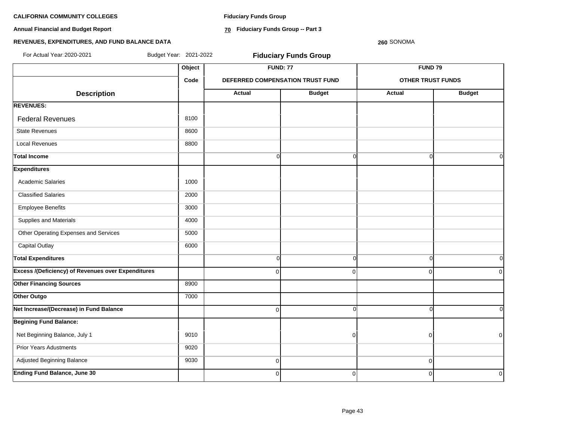**Annual Financial and Budget Report**

**Fiduciary Funds Group**

**70 Fiduciary Funds Group -- Part 3**

### **260** SONOMA

| For Actual Year: 2020-2021                                | Budget Year: 2021-2022 |                | <b>Fiduciary Funds Group</b>     |                          |                |
|-----------------------------------------------------------|------------------------|----------------|----------------------------------|--------------------------|----------------|
|                                                           | Object                 |                | <b>FUND: 77</b>                  | FUND <sub>79</sub>       |                |
|                                                           | Code                   |                | DEFERRED COMPENSATION TRUST FUND | <b>OTHER TRUST FUNDS</b> |                |
| <b>Description</b>                                        |                        | <b>Actual</b>  | <b>Budget</b>                    | <b>Actual</b>            | <b>Budget</b>  |
| <b>REVENUES:</b>                                          |                        |                |                                  |                          |                |
| <b>Federal Revenues</b>                                   | 8100                   |                |                                  |                          |                |
| <b>State Revenues</b>                                     | 8600                   |                |                                  |                          |                |
| <b>Local Revenues</b>                                     | 8800                   |                |                                  |                          |                |
| <b>Total Income</b>                                       |                        | $\overline{0}$ | $\overline{0}$                   | $\Omega$                 | $\overline{0}$ |
| <b>Expenditures</b>                                       |                        |                |                                  |                          |                |
| <b>Academic Salaries</b>                                  | 1000                   |                |                                  |                          |                |
| <b>Classified Salaries</b>                                | 2000                   |                |                                  |                          |                |
| <b>Employee Benefits</b>                                  | 3000                   |                |                                  |                          |                |
| Supplies and Materials                                    | 4000                   |                |                                  |                          |                |
| Other Operating Expenses and Services                     | 5000                   |                |                                  |                          |                |
| <b>Capital Outlay</b>                                     | 6000                   |                |                                  |                          |                |
| <b>Total Expenditures</b>                                 |                        | $\overline{0}$ | $\mathbf 0$                      | $\overline{0}$           | $\overline{0}$ |
| <b>Excess /(Deficiency) of Revenues over Expenditures</b> |                        | $\Omega$       | $\Omega$                         | $\Omega$                 | $\Omega$       |
| <b>Other Financing Sources</b>                            | 8900                   |                |                                  |                          |                |
| Other Outgo                                               | 7000                   |                |                                  |                          |                |
| Net Increase/(Decrease) in Fund Balance                   |                        | 0              | $\Omega$                         | $\Omega$                 | $\Omega$       |
| <b>Begining Fund Balance:</b>                             |                        |                |                                  |                          |                |
| Net Beginning Balance, July 1                             | 9010                   |                | 0                                | $\overline{0}$           | $\overline{0}$ |
| <b>Prior Years Adustments</b>                             | 9020                   |                |                                  |                          |                |
| Adjusted Beginning Balance                                | 9030                   | $\overline{0}$ |                                  | $\mathbf 0$              |                |
| <b>Ending Fund Balance, June 30</b>                       |                        | $\overline{0}$ | $\mathbf 0$                      | $\Omega$                 | $\overline{0}$ |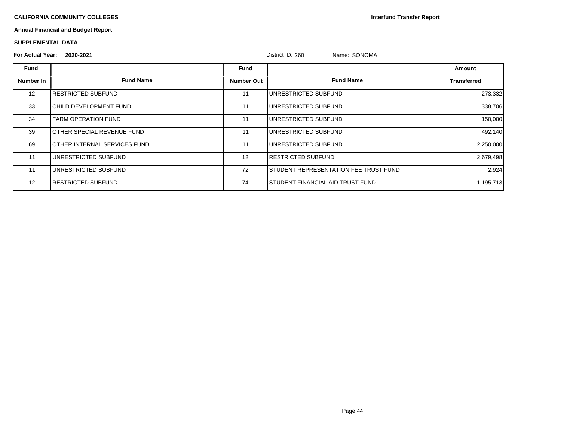**Interfund Transfer Report**

# **Annual Financial and Budget Report**

### **SUPPLEMENTAL DATA**

# **For Actual Year: 2020-2021** District ID: 260 Name: SONOMA

|                   | LULU-LUL I                           |                   | עטזיש נייטיש<br>NQHUQ, VUVUQH                 |                    |
|-------------------|--------------------------------------|-------------------|-----------------------------------------------|--------------------|
| <b>Fund</b>       |                                      | <b>Fund</b>       |                                               | Amount             |
| Number In         | <b>Fund Name</b>                     | <b>Number Out</b> | <b>Fund Name</b>                              | <b>Transferred</b> |
| $12 \overline{ }$ | <b>IRESTRICTED SUBFUND</b>           | 11                | <b>IUNRESTRICTED SUBFUND</b>                  | 273,332            |
| 33                | ICHILD DEVELOPMENT FUND              | 11                | <b>IUNRESTRICTED SUBFUND</b>                  | 338,706            |
| 34                | <b>I</b> FARM OPERATION FUND         | 11                | <b>I</b> UNRESTRICTED SUBFUND                 | 150,000            |
| 39                | <b>IOTHER SPECIAL REVENUE FUND</b>   | 11                | IUNRESTRICTED SUBFUND                         | 492,140            |
| 69                | <b>IOTHER INTERNAL SERVICES FUND</b> | 11                | IUNRESTRICTED SUBFUND                         | 2,250,000          |
| 11                | UNRESTRICTED SUBFUND                 | 12                | <b>IRESTRICTED SUBFUND</b>                    | 2,679,498          |
| 11                | IUNRESTRICTED SUBFUND                | 72                | <b>ISTUDENT REPRESENTATION FEE TRUST FUND</b> | 2,924              |
| 12                | <b>IRESTRICTED SUBFUND</b>           | 74                | <b>I</b> STUDENT FINANCIAL AID TRUST FUND     | 1,195,713          |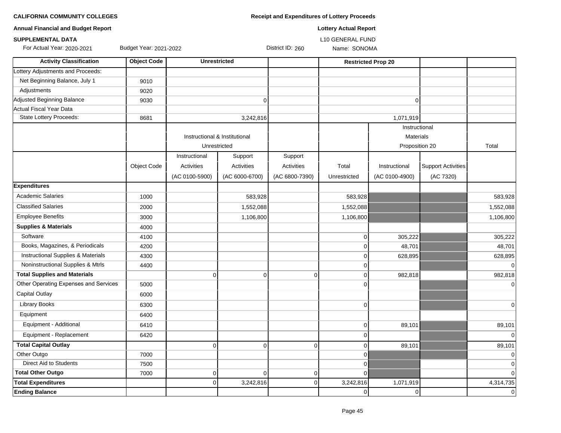| <b>Annual Financial and Budget Report</b>     |                        |                                               |                   |                  | <b>Lottery Actual Report</b> |                                              |                           |                |
|-----------------------------------------------|------------------------|-----------------------------------------------|-------------------|------------------|------------------------------|----------------------------------------------|---------------------------|----------------|
| <b>SUPPLEMENTAL DATA</b>                      |                        |                                               |                   |                  | <b>L10 GENERAL FUND</b>      |                                              |                           |                |
| For Actual Year: 2020-2021                    | Budget Year: 2021-2022 |                                               |                   | District ID: 260 | Name: SONOMA                 |                                              |                           |                |
| <b>Activity Classification</b>                | <b>Object Code</b>     | <b>Unrestricted</b>                           |                   |                  |                              | <b>Restricted Prop 20</b>                    |                           |                |
| Lottery Adjustments and Proceeds:             |                        |                                               |                   |                  |                              |                                              |                           |                |
| Net Beginning Balance, July 1                 | 9010                   |                                               |                   |                  |                              |                                              |                           |                |
| Adjustments                                   | 9020                   |                                               |                   |                  |                              |                                              |                           |                |
| Adjusted Beginning Balance                    | 9030                   |                                               | 0                 |                  |                              | 0                                            |                           |                |
| Actual Fiscal Year Data                       |                        |                                               |                   |                  |                              |                                              |                           |                |
| State Lottery Proceeds:                       | 8681                   |                                               | 3,242,816         |                  |                              | 1,071,919                                    |                           |                |
|                                               |                        | Instructional & Institutional<br>Unrestricted |                   |                  |                              | Instructional<br>Materials<br>Proposition 20 |                           | Total          |
|                                               |                        | Instructional                                 | Support           | Support          |                              |                                              |                           |                |
|                                               | Object Code            | Activities                                    | <b>Activities</b> | Activities       | Total                        | Instructional                                | <b>Support Activities</b> |                |
|                                               |                        | (AC 0100-5900)                                | (AC 6000-6700)    | (AC 6800-7390)   | Unrestricted                 | (AC 0100-4900)                               | (AC 7320)                 |                |
| <b>Expenditures</b>                           |                        |                                               |                   |                  |                              |                                              |                           |                |
| <b>Academic Salaries</b>                      | 1000                   |                                               | 583,928           |                  | 583,928                      |                                              |                           | 583,928        |
| <b>Classified Salaries</b>                    | 2000                   |                                               | 1,552,088         |                  | 1,552,088                    |                                              |                           | 1,552,088      |
| <b>Employee Benefits</b>                      | 3000                   |                                               | 1,106,800         |                  | 1,106,800                    |                                              |                           | 1,106,800      |
| <b>Supplies &amp; Materials</b>               | 4000                   |                                               |                   |                  |                              |                                              |                           |                |
| Software                                      | 4100                   |                                               |                   |                  | 0                            | 305,222                                      |                           | 305,222        |
| Books, Magazines, & Periodicals               | 4200                   |                                               |                   |                  | 0                            | 48,701                                       |                           | 48,701         |
| <b>Instructional Supplies &amp; Materials</b> | 4300                   |                                               |                   |                  | 0                            | 628,895                                      |                           | 628,895        |
| Noninstructional Supplies & Mtrls             | 4400                   |                                               |                   |                  | 0                            |                                              |                           | $\Omega$       |
| <b>Total Supplies and Materials</b>           |                        | 0                                             | 0                 | 0                | $\pmb{0}$                    | 982,818                                      |                           | 982,818        |
| Other Operating Expenses and Services         | 5000                   |                                               |                   |                  | 0                            |                                              |                           | $\overline{0}$ |
| <b>Capital Outlay</b>                         | 6000                   |                                               |                   |                  |                              |                                              |                           |                |
| Library Books                                 | 6300                   |                                               |                   |                  | 0                            |                                              |                           | 0              |
| Equipment                                     | 6400                   |                                               |                   |                  |                              |                                              |                           |                |
| Equipment - Additional                        | 6410                   |                                               |                   |                  | 0                            | 89,101                                       |                           | 89,101         |
| Equipment - Replacement                       | 6420                   |                                               |                   |                  | $\mathbf 0$                  |                                              |                           | 0              |
| <b>Total Capital Outlay</b>                   |                        | 0                                             | $\overline{0}$    | $\overline{0}$   | $\overline{0}$               | 89,101                                       |                           | 89,101         |
| Other Outgo                                   | 7000                   |                                               |                   |                  | 0                            |                                              |                           | $\mathbf 0$    |
| Direct Aid to Students                        | 7500                   |                                               |                   |                  | 0                            |                                              |                           | 0              |
| <b>Total Other Outgo</b>                      | 7000                   | 0                                             | 0                 | 0                | $\overline{0}$               |                                              |                           | 0              |
| <b>Total Expenditures</b>                     |                        | $\overline{0}$                                | 3,242,816         | 0                | 3,242,816                    | 1,071,919                                    |                           | 4,314,735      |
| <b>Ending Balance</b>                         |                        |                                               |                   |                  | $\overline{0}$               | $\overline{0}$                               |                           | 0              |

**CALIFORNIA COMMUNITY COLLEGES Receipt and Expenditures of Lottery Proceeds**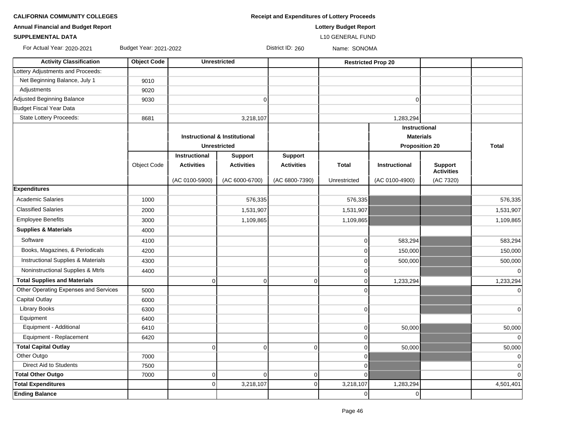**CALIFORNIA COMMUNITY COLLEGES Receipt and Exp Receipt and Exp** 

**Annual Financial and Budget Report Lottery Budget Report**

### **SUPPLEMENTAL DATA** L10 GENERAL FUND

 $\Gamma$ 

᠇

┱

For Actual Year: 2020-2021 Budget Year: 2021-2022 District ID: 260 Name: SONOMA

| <b>Activity Classification</b>                | <b>Object Code</b> |                   | <b>Unrestricted</b>                      |                   |              | <b>Restricted Prop 20</b> |                                     |              |
|-----------------------------------------------|--------------------|-------------------|------------------------------------------|-------------------|--------------|---------------------------|-------------------------------------|--------------|
| Lottery Adjustments and Proceeds:             |                    |                   |                                          |                   |              |                           |                                     |              |
| Net Beginning Balance, July 1                 | 9010               |                   |                                          |                   |              |                           |                                     |              |
| Adjustments                                   | 9020               |                   |                                          |                   |              |                           |                                     |              |
| Adjusted Beginning Balance                    | 9030               |                   | 0                                        |                   |              | $\Omega$                  |                                     |              |
| Budget Fiscal Year Data                       |                    |                   |                                          |                   |              |                           |                                     |              |
| <b>State Lottery Proceeds:</b>                | 8681               |                   | 3,218,107                                |                   |              | 1,283,294                 |                                     |              |
|                                               |                    |                   |                                          |                   |              | <b>Instructional</b>      |                                     |              |
|                                               |                    |                   | <b>Instructional &amp; Institutional</b> |                   |              | <b>Materials</b>          |                                     |              |
|                                               |                    |                   | <b>Unrestricted</b>                      |                   |              | <b>Proposition 20</b>     |                                     | <b>Total</b> |
|                                               |                    | Instructional     | <b>Support</b>                           | <b>Support</b>    |              |                           |                                     |              |
|                                               | <b>Object Code</b> | <b>Activities</b> | <b>Activities</b>                        | <b>Activities</b> | <b>Total</b> | Instructional             | <b>Support</b><br><b>Activities</b> |              |
|                                               |                    | (AC 0100-5900)    | (AC 6000-6700)                           | (AC 6800-7390)    | Unrestricted | (AC 0100-4900)            | (AC 7320)                           |              |
| <b>Expenditures</b>                           |                    |                   |                                          |                   |              |                           |                                     |              |
| <b>Academic Salaries</b>                      | 1000               |                   | 576,335                                  |                   | 576,335      |                           |                                     | 576,335      |
| <b>Classified Salaries</b>                    | 2000               |                   | 1,531,907                                |                   | 1,531,907    |                           |                                     | 1,531,907    |
| <b>Employee Benefits</b>                      | 3000               |                   | 1,109,865                                |                   | 1,109,865    |                           |                                     | 1,109,865    |
| <b>Supplies &amp; Materials</b>               | 4000               |                   |                                          |                   |              |                           |                                     |              |
| Software                                      | 4100               |                   |                                          |                   | $\mathbf 0$  | 583,294                   |                                     | 583,294      |
| Books, Magazines, & Periodicals               | 4200               |                   |                                          |                   | $\mathbf 0$  | 150,000                   |                                     | 150,000      |
| <b>Instructional Supplies &amp; Materials</b> | 4300               |                   |                                          |                   | $\mathbf 0$  | 500,000                   |                                     | 500,000      |
| Noninstructional Supplies & Mtrls             | 4400               |                   |                                          |                   | $\mathbf 0$  |                           |                                     | $\Omega$     |
| <b>Total Supplies and Materials</b>           |                    | 0                 | $\mathbf 0$                              | $\overline{0}$    | $\mathbf 0$  | 1,233,294                 |                                     | 1,233,294    |
| Other Operating Expenses and Services         | 5000               |                   |                                          |                   | $\Omega$     |                           |                                     | $\Omega$     |
| <b>Capital Outlay</b>                         | 6000               |                   |                                          |                   |              |                           |                                     |              |
| Library Books                                 | 6300               |                   |                                          |                   | $\mathbf 0$  |                           |                                     | $\mathbf 0$  |
| Equipment                                     | 6400               |                   |                                          |                   |              |                           |                                     |              |
| Equipment - Additional                        | 6410               |                   |                                          |                   | $\mathbf 0$  | 50,000                    |                                     | 50,000       |
| Equipment - Replacement                       | 6420               |                   |                                          |                   | $\Omega$     |                           |                                     |              |
| <b>Total Capital Outlay</b>                   |                    | $\mathbf 0$       | $\overline{0}$                           | $\Omega$          | $\mathbf 0$  | 50,000                    |                                     | 50,000       |
| Other Outgo                                   | 7000               |                   |                                          |                   | $\mathbf 0$  |                           |                                     |              |
| <b>Direct Aid to Students</b>                 | 7500               |                   |                                          |                   | $\mathbf 0$  |                           |                                     | $\Omega$     |
| <b>Total Other Outgo</b>                      | 7000               | 0                 | $\overline{0}$                           | $\overline{0}$    | $\Omega$     |                           |                                     | $\Omega$     |
| <b>Total Expenditures</b>                     |                    | $\Omega$          | 3,218,107                                | $\overline{0}$    | 3,218,107    | 1,283,294                 |                                     | 4,501,401    |
| <b>Ending Balance</b>                         |                    |                   |                                          |                   | $\mathbf 0$  | 0                         |                                     |              |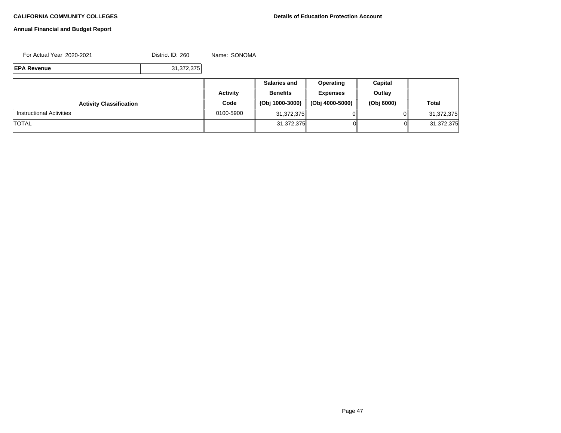# **Annual Financial and Budget Report**

For Actual Year: 2020-2021 District ID: 260 Name: SONOMA

**EPA Revenue** 31,372,375

|                                 |           | <b>Salaries and</b> | Operating       | Capital    |              |
|---------------------------------|-----------|---------------------|-----------------|------------|--------------|
|                                 | Activity  | <b>Benefits</b>     | <b>Expenses</b> | Outlay     |              |
| <b>Activity Classification</b>  | Code      | (Obj 1000-3000)     | (Obj 4000-5000) | (Obj 6000) | <b>Total</b> |
| <b>Instructional Activities</b> | 0100-5900 | 31,372,375          |                 |            | 31,372,375   |
| <b>TOTAL</b>                    |           | 31,372,375          |                 | 01         | 31,372,375   |